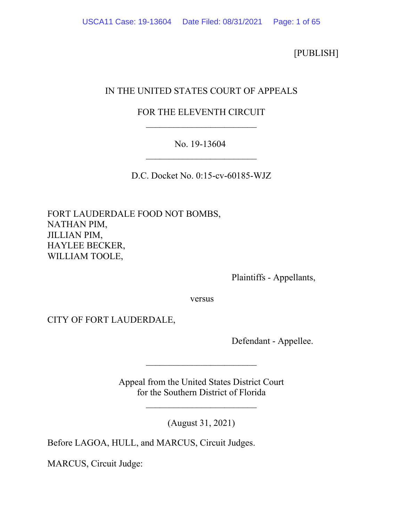[PUBLISH]

# IN THE UNITED STATES COURT OF APPEALS

## FOR THE ELEVENTH CIRCUIT \_\_\_\_\_\_\_\_\_\_\_\_\_\_\_\_\_\_\_\_\_\_\_\_

## No. 19-13604 \_\_\_\_\_\_\_\_\_\_\_\_\_\_\_\_\_\_\_\_\_\_\_\_

D.C. Docket No. 0:15-cv-60185-WJZ

FORT LAUDERDALE FOOD NOT BOMBS, NATHAN PIM, JILLIAN PIM, HAYLEE BECKER, WILLIAM TOOLE,

Plaintiffs - Appellants,

versus versus

CITY OF FORT LAUDERDALE,

Defendant - Appellee.

Appeal from the United States District Court for the Southern District of Florida

\_\_\_\_\_\_\_\_\_\_\_\_\_\_\_\_\_\_\_\_\_\_\_\_

\_\_\_\_\_\_\_\_\_\_\_\_\_\_\_\_\_\_\_\_\_\_\_\_

(August 31, 2021)

Before LAGOA, HULL, and MARCUS, Circuit Judges.

MARCUS, Circuit Judge: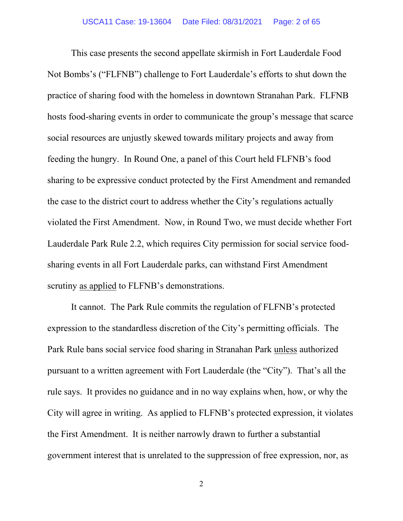This case presents the second appellate skirmish in Fort Lauderdale Food Not Bombs's ("FLFNB") challenge to Fort Lauderdale's efforts to shut down the practice of sharing food with the homeless in downtown Stranahan Park. FLFNB hosts food-sharing events in order to communicate the group's message that scarce social resources are unjustly skewed towards military projects and away from feeding the hungry. In Round One, a panel of this Court held FLFNB's food sharing to be expressive conduct protected by the First Amendment and remanded the case to the district court to address whether the City's regulations actually violated the First Amendment. Now, in Round Two, we must decide whether Fort Lauderdale Park Rule 2.2, which requires City permission for social service foodsharing events in all Fort Lauderdale parks, can withstand First Amendment scrutiny as applied to FLFNB's demonstrations.

It cannot. The Park Rule commits the regulation of FLFNB's protected expression to the standardless discretion of the City's permitting officials. The Park Rule bans social service food sharing in Stranahan Park unless authorized pursuant to a written agreement with Fort Lauderdale (the "City"). That's all the rule says. It provides no guidance and in no way explains when, how, or why the City will agree in writing. As applied to FLFNB's protected expression, it violates the First Amendment. It is neither narrowly drawn to further a substantial government interest that is unrelated to the suppression of free expression, nor, as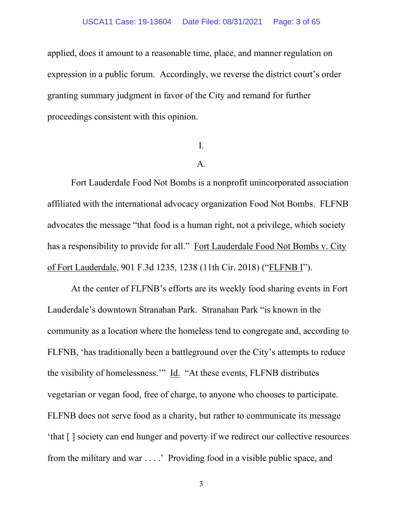#### USCA11 Case: 19-13604 Date Filed: 08/31/2021 Page: 3 of 65

applied, does it amount to a reasonable time, place, and manner regulation on expression in a public forum. Accordingly, we reverse the district court's order granting summary judgment in favor of the City and remand for further proceedings consistent with this opinion.

I.

A.

Fort Lauderdale Food Not Bombs is a nonprofit unincorporated association affiliated with the international advocacy organization Food Not Bombs. FLFNB advocates the message "that food is a human right, not a privilege, which society has a responsibility to provide for all." Fort Lauderdale Food Not Bombs v. City of Fort Lauderdale, 901 F.3d 1235, 1238 (11th Cir. 2018) ("FLFNB I").

At the center of FLFNB's efforts are its weekly food sharing events in Fort Lauderdale's downtown Stranahan Park. Stranahan Park "is known in the community as a location where the homeless tend to congregate and, according to FLFNB, 'has traditionally been a battleground over the City's attempts to reduce the visibility of homelessness." Id. "At these events, FLFNB distributes vegetarian or vegan food, free of charge, to anyone who chooses to participate. FLFNB does not serve food as a charity, but rather to communicate its message 'that [ ] society can end hunger and poverty if we redirect our collective resources from the military and war . . . .' Providing food in a visible public space, and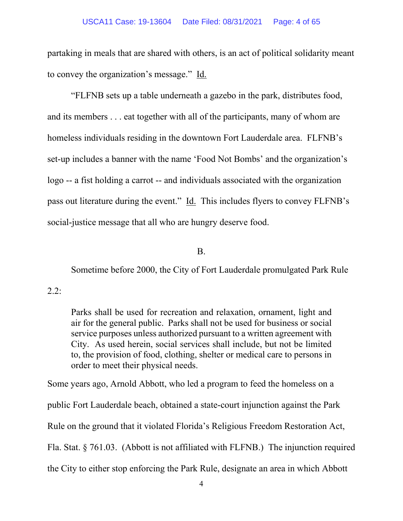partaking in meals that are shared with others, is an act of political solidarity meant to convey the organization's message." Id.

"FLFNB sets up a table underneath a gazebo in the park, distributes food, and its members . . . eat together with all of the participants, many of whom are homeless individuals residing in the downtown Fort Lauderdale area. FLFNB's set-up includes a banner with the name 'Food Not Bombs' and the organization's logo -- a fist holding a carrot -- and individuals associated with the organization pass out literature during the event." Id. This includes flyers to convey FLFNB's social-justice message that all who are hungry deserve food.

#### B.

Sometime before 2000, the City of Fort Lauderdale promulgated Park Rule

### $2.2:$

Parks shall be used for recreation and relaxation, ornament, light and air for the general public. Parks shall not be used for business or social service purposes unless authorized pursuant to a written agreement with City. As used herein, social services shall include, but not be limited to, the provision of food, clothing, shelter or medical care to persons in order to meet their physical needs.

Some years ago, Arnold Abbott, who led a program to feed the homeless on a public Fort Lauderdale beach, obtained a state-court injunction against the Park Rule on the ground that it violated Florida's Religious Freedom Restoration Act, Fla. Stat. § 761.03. (Abbott is not affiliated with FLFNB.) The injunction required the City to either stop enforcing the Park Rule, designate an area in which Abbott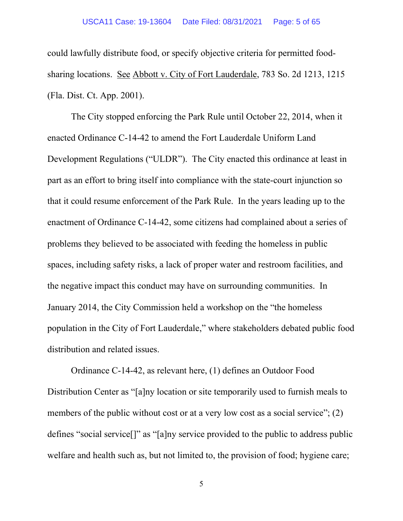could lawfully distribute food, or specify objective criteria for permitted foodsharing locations. See Abbott v. City of Fort Lauderdale, 783 So. 2d 1213, 1215 (Fla. Dist. Ct. App. 2001).

The City stopped enforcing the Park Rule until October 22, 2014, when it enacted Ordinance C-14-42 to amend the Fort Lauderdale Uniform Land Development Regulations ("ULDR"). The City enacted this ordinance at least in part as an effort to bring itself into compliance with the state-court injunction so that it could resume enforcement of the Park Rule. In the years leading up to the enactment of Ordinance C-14-42, some citizens had complained about a series of problems they believed to be associated with feeding the homeless in public spaces, including safety risks, a lack of proper water and restroom facilities, and the negative impact this conduct may have on surrounding communities. In January 2014, the City Commission held a workshop on the "the homeless population in the City of Fort Lauderdale," where stakeholders debated public food distribution and related issues.

Ordinance C-14-42, as relevant here, (1) defines an Outdoor Food Distribution Center as "[a]ny location or site temporarily used to furnish meals to members of the public without cost or at a very low cost as a social service"; (2) defines "social service[]" as "[a]ny service provided to the public to address public welfare and health such as, but not limited to, the provision of food; hygiene care;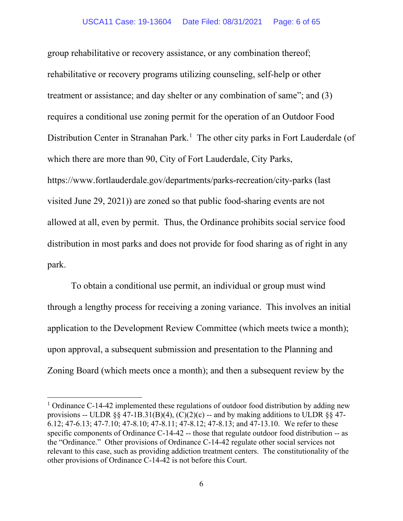group rehabilitative or recovery assistance, or any combination thereof; rehabilitative or recovery programs utilizing counseling, self-help or other treatment or assistance; and day shelter or any combination of same"; and (3) requires a conditional use zoning permit for the operation of an Outdoor Food Distribution Center in Stranahan Park.<sup>[1](#page-5-0)</sup> The other city parks in Fort Lauderdale (of which there are more than 90, City of Fort Lauderdale, City Parks, https://www.fortlauderdale.gov/departments/parks-recreation/city-parks (last visited June 29, 2021)) are zoned so that public food-sharing events are not allowed at all, even by permit. Thus, the Ordinance prohibits social service food distribution in most parks and does not provide for food sharing as of right in any park.

To obtain a conditional use permit, an individual or group must wind through a lengthy process for receiving a zoning variance. This involves an initial application to the Development Review Committee (which meets twice a month); upon approval, a subsequent submission and presentation to the Planning and Zoning Board (which meets once a month); and then a subsequent review by the

<span id="page-5-0"></span><sup>&</sup>lt;sup>1</sup> Ordinance C-14-42 implemented these regulations of outdoor food distribution by adding new provisions -- ULDR §§ 47-1B.31(B)(4), (C)(2)(c) -- and by making additions to ULDR §§ 47-6.12; 47-6.13; 47-7.10; 47-8.10; 47-8.11; 47-8.12; 47-8.13; and 47-13.10. We refer to these specific components of Ordinance C-14-42 -- those that regulate outdoor food distribution -- as the "Ordinance." Other provisions of Ordinance C-14-42 regulate other social services not relevant to this case, such as providing addiction treatment centers. The constitutionality of the other provisions of Ordinance C-14-42 is not before this Court.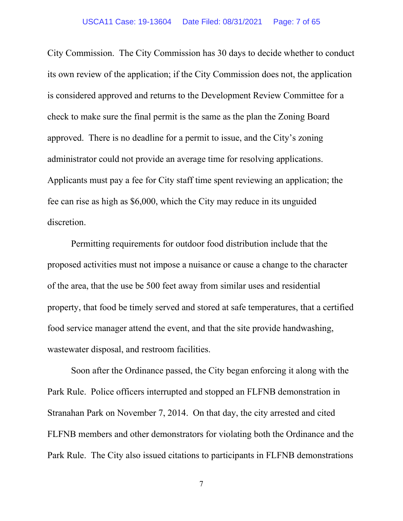City Commission. The City Commission has 30 days to decide whether to conduct its own review of the application; if the City Commission does not, the application is considered approved and returns to the Development Review Committee for a check to make sure the final permit is the same as the plan the Zoning Board approved. There is no deadline for a permit to issue, and the City's zoning administrator could not provide an average time for resolving applications. Applicants must pay a fee for City staff time spent reviewing an application; the fee can rise as high as \$6,000, which the City may reduce in its unguided discretion.

Permitting requirements for outdoor food distribution include that the proposed activities must not impose a nuisance or cause a change to the character of the area, that the use be 500 feet away from similar uses and residential property, that food be timely served and stored at safe temperatures, that a certified food service manager attend the event, and that the site provide handwashing, wastewater disposal, and restroom facilities.

Soon after the Ordinance passed, the City began enforcing it along with the Park Rule. Police officers interrupted and stopped an FLFNB demonstration in Stranahan Park on November 7, 2014. On that day, the city arrested and cited FLFNB members and other demonstrators for violating both the Ordinance and the Park Rule. The City also issued citations to participants in FLFNB demonstrations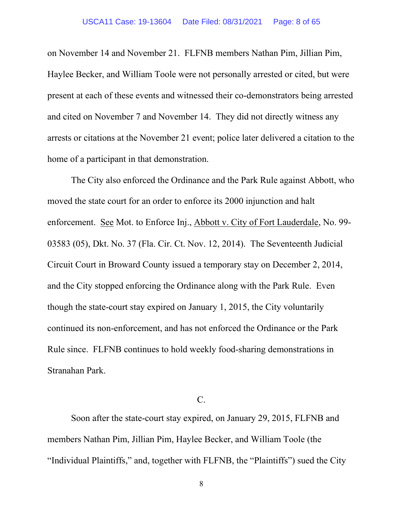on November 14 and November 21. FLFNB members Nathan Pim, Jillian Pim, Haylee Becker, and William Toole were not personally arrested or cited, but were present at each of these events and witnessed their co-demonstrators being arrested and cited on November 7 and November 14. They did not directly witness any arrests or citations at the November 21 event; police later delivered a citation to the home of a participant in that demonstration.

The City also enforced the Ordinance and the Park Rule against Abbott, who moved the state court for an order to enforce its 2000 injunction and halt enforcement. See Mot. to Enforce Inj., Abbott v. City of Fort Lauderdale, No. 99- 03583 (05), Dkt. No. 37 (Fla. Cir. Ct. Nov. 12, 2014). The Seventeenth Judicial Circuit Court in Broward County issued a temporary stay on December 2, 2014, and the City stopped enforcing the Ordinance along with the Park Rule. Even though the state-court stay expired on January 1, 2015, the City voluntarily continued its non-enforcement, and has not enforced the Ordinance or the Park Rule since. FLFNB continues to hold weekly food-sharing demonstrations in Stranahan Park.

### $C_{\cdot}$

Soon after the state-court stay expired, on January 29, 2015, FLFNB and members Nathan Pim, Jillian Pim, Haylee Becker, and William Toole (the "Individual Plaintiffs," and, together with FLFNB, the "Plaintiffs") sued the City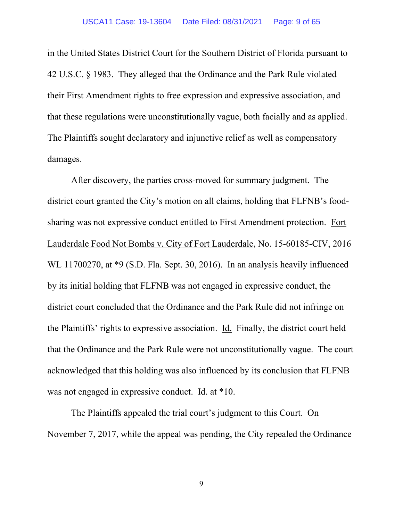in the United States District Court for the Southern District of Florida pursuant to 42 U.S.C. § 1983. They alleged that the Ordinance and the Park Rule violated their First Amendment rights to free expression and expressive association, and that these regulations were unconstitutionally vague, both facially and as applied. The Plaintiffs sought declaratory and injunctive relief as well as compensatory damages.

After discovery, the parties cross-moved for summary judgment. The district court granted the City's motion on all claims, holding that FLFNB's foodsharing was not expressive conduct entitled to First Amendment protection. Fort Lauderdale Food Not Bombs v. City of Fort Lauderdale, No. 15-60185-CIV, 2016 WL 11700270, at \*9 (S.D. Fla. Sept. 30, 2016). In an analysis heavily influenced by its initial holding that FLFNB was not engaged in expressive conduct, the district court concluded that the Ordinance and the Park Rule did not infringe on the Plaintiffs' rights to expressive association. Id. Finally, the district court held that the Ordinance and the Park Rule were not unconstitutionally vague. The court acknowledged that this holding was also influenced by its conclusion that FLFNB was not engaged in expressive conduct. Id. at \*10.

The Plaintiffs appealed the trial court's judgment to this Court. On November 7, 2017, while the appeal was pending, the City repealed the Ordinance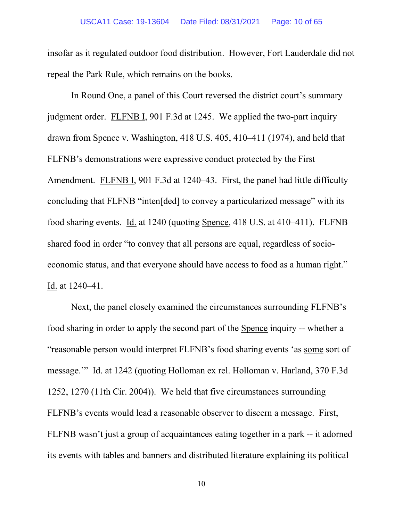insofar as it regulated outdoor food distribution. However, Fort Lauderdale did not repeal the Park Rule, which remains on the books.

In Round One, a panel of this Court reversed the district court's summary judgment order. FLFNB I, 901 F.3d at 1245. We applied the two-part inquiry drawn from Spence v. Washington, 418 U.S. 405, 410–411 (1974), and held that FLFNB's demonstrations were expressive conduct protected by the First Amendment. FLFNB I, 901 F.3d at 1240–43. First, the panel had little difficulty concluding that FLFNB "inten[ded] to convey a particularized message" with its food sharing events. Id. at 1240 (quoting Spence, 418 U.S. at 410–411). FLFNB shared food in order "to convey that all persons are equal, regardless of socioeconomic status, and that everyone should have access to food as a human right." Id. at 1240–41.

Next, the panel closely examined the circumstances surrounding FLFNB's food sharing in order to apply the second part of the Spence inquiry -- whether a "reasonable person would interpret FLFNB's food sharing events 'as some sort of message.'" Id. at 1242 (quoting Holloman ex rel. Holloman v. Harland, 370 F.3d 1252, 1270 (11th Cir. 2004)). We held that five circumstances surrounding FLFNB's events would lead a reasonable observer to discern a message. First, FLFNB wasn't just a group of acquaintances eating together in a park -- it adorned its events with tables and banners and distributed literature explaining its political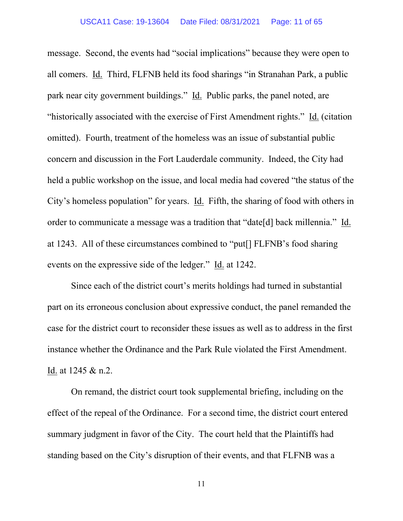message. Second, the events had "social implications" because they were open to all comers. Id. Third, FLFNB held its food sharings "in Stranahan Park, a public park near city government buildings." Id. Public parks, the panel noted, are "historically associated with the exercise of First Amendment rights." Id. (citation omitted). Fourth, treatment of the homeless was an issue of substantial public concern and discussion in the Fort Lauderdale community. Indeed, the City had held a public workshop on the issue, and local media had covered "the status of the City's homeless population" for years. Id. Fifth, the sharing of food with others in order to communicate a message was a tradition that "date[d] back millennia." Id. at 1243. All of these circumstances combined to "put[] FLFNB's food sharing events on the expressive side of the ledger." Id. at 1242.

Since each of the district court's merits holdings had turned in substantial part on its erroneous conclusion about expressive conduct, the panel remanded the case for the district court to reconsider these issues as well as to address in the first instance whether the Ordinance and the Park Rule violated the First Amendment. Id. at 1245 & n.2.

On remand, the district court took supplemental briefing, including on the effect of the repeal of the Ordinance. For a second time, the district court entered summary judgment in favor of the City. The court held that the Plaintiffs had standing based on the City's disruption of their events, and that FLFNB was a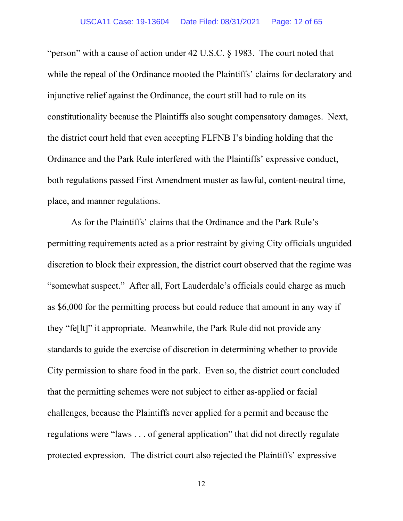"person" with a cause of action under 42 U.S.C. § 1983. The court noted that while the repeal of the Ordinance mooted the Plaintiffs' claims for declaratory and injunctive relief against the Ordinance, the court still had to rule on its constitutionality because the Plaintiffs also sought compensatory damages. Next, the district court held that even accepting FLFNB I's binding holding that the Ordinance and the Park Rule interfered with the Plaintiffs' expressive conduct, both regulations passed First Amendment muster as lawful, content-neutral time, place, and manner regulations.

As for the Plaintiffs' claims that the Ordinance and the Park Rule's permitting requirements acted as a prior restraint by giving City officials unguided discretion to block their expression, the district court observed that the regime was "somewhat suspect." After all, Fort Lauderdale's officials could charge as much as \$6,000 for the permitting process but could reduce that amount in any way if they "fe[lt]" it appropriate. Meanwhile, the Park Rule did not provide any standards to guide the exercise of discretion in determining whether to provide City permission to share food in the park. Even so, the district court concluded that the permitting schemes were not subject to either as-applied or facial challenges, because the Plaintiffs never applied for a permit and because the regulations were "laws . . . of general application" that did not directly regulate protected expression. The district court also rejected the Plaintiffs' expressive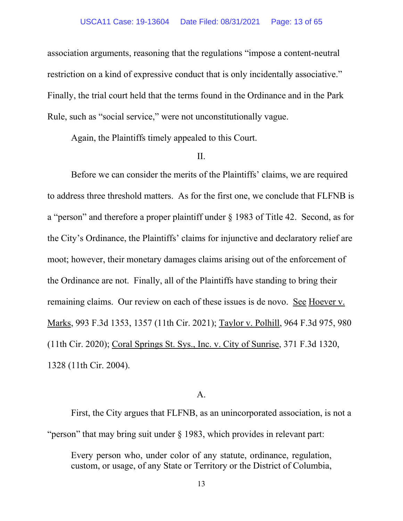#### USCA11 Case: 19-13604 Date Filed: 08/31/2021 Page: 13 of 65

association arguments, reasoning that the regulations "impose a content-neutral restriction on a kind of expressive conduct that is only incidentally associative." Finally, the trial court held that the terms found in the Ordinance and in the Park Rule, such as "social service," were not unconstitutionally vague.

Again, the Plaintiffs timely appealed to this Court.

#### II.

Before we can consider the merits of the Plaintiffs' claims, we are required to address three threshold matters. As for the first one, we conclude that FLFNB is a "person" and therefore a proper plaintiff under § 1983 of Title 42. Second, as for the City's Ordinance, the Plaintiffs' claims for injunctive and declaratory relief are moot; however, their monetary damages claims arising out of the enforcement of the Ordinance are not. Finally, all of the Plaintiffs have standing to bring their remaining claims. Our review on each of these issues is de novo. See Hoever v. Marks, 993 F.3d 1353, 1357 (11th Cir. 2021); Taylor v. Polhill, 964 F.3d 975, 980 (11th Cir. 2020); Coral Springs St. Sys., Inc. v. City of Sunrise, 371 F.3d 1320, 1328 (11th Cir. 2004).

#### A.

First, the City argues that FLFNB, as an unincorporated association, is not a "person" that may bring suit under § 1983, which provides in relevant part:

Every person who, under color of any statute, ordinance, regulation, custom, or usage, of any State or Territory or the District of Columbia,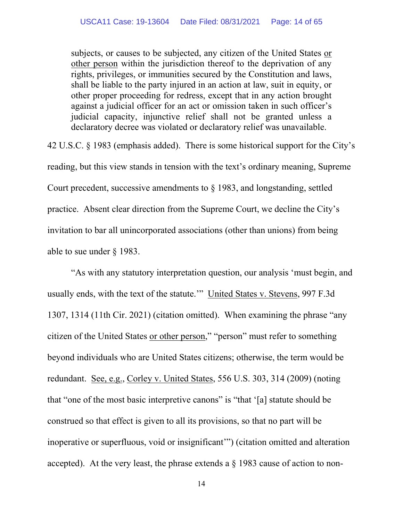subjects, or causes to be subjected, any citizen of the United States or other person within the jurisdiction thereof to the deprivation of any rights, privileges, or immunities secured by the Constitution and laws, shall be liable to the party injured in an action at law, suit in equity, or other proper proceeding for redress, except that in any action brought against a judicial officer for an act or omission taken in such officer's judicial capacity, injunctive relief shall not be granted unless a declaratory decree was violated or declaratory relief was unavailable.

42 U.S.C. § 1983 (emphasis added). There is some historical support for the City's reading, but this view stands in tension with the text's ordinary meaning, Supreme Court precedent, successive amendments to § 1983, and longstanding, settled practice. Absent clear direction from the Supreme Court, we decline the City's invitation to bar all unincorporated associations (other than unions) from being able to sue under § 1983.

"As with any statutory interpretation question, our analysis 'must begin, and usually ends, with the text of the statute.'" United States v. Stevens, 997 F.3d 1307, 1314 (11th Cir. 2021) (citation omitted). When examining the phrase "any citizen of the United States or other person," "person" must refer to something beyond individuals who are United States citizens; otherwise, the term would be redundant. See, e.g., Corley v. United States, 556 U.S. 303, 314 (2009) (noting that "one of the most basic interpretive canons" is "that '[a] statute should be construed so that effect is given to all its provisions, so that no part will be inoperative or superfluous, void or insignificant'") (citation omitted and alteration accepted). At the very least, the phrase extends a  $\S$  1983 cause of action to non-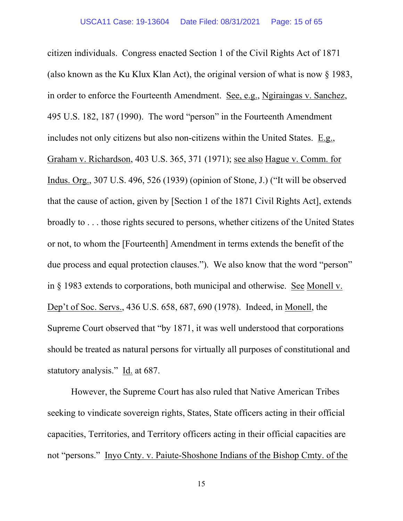citizen individuals. Congress enacted Section 1 of the Civil Rights Act of 1871 (also known as the Ku Klux Klan Act), the original version of what is now § 1983, in order to enforce the Fourteenth Amendment. See, e.g., Ngiraingas v. Sanchez, 495 U.S. 182, 187 (1990). The word "person" in the Fourteenth Amendment includes not only citizens but also non-citizens within the United States. E.g., Graham v. Richardson, 403 U.S. 365, 371 (1971); see also Hague v. Comm. for Indus. Org., 307 U.S. 496, 526 (1939) (opinion of Stone, J.) ("It will be observed that the cause of action, given by [Section 1 of the 1871 Civil Rights Act], extends broadly to . . . those rights secured to persons, whether citizens of the United States or not, to whom the [Fourteenth] Amendment in terms extends the benefit of the due process and equal protection clauses."). We also know that the word "person" in § 1983 extends to corporations, both municipal and otherwise. See Monell v. Dep't of Soc. Servs., 436 U.S. 658, 687, 690 (1978). Indeed, in Monell, the Supreme Court observed that "by 1871, it was well understood that corporations should be treated as natural persons for virtually all purposes of constitutional and statutory analysis." Id. at 687.

However, the Supreme Court has also ruled that Native American Tribes seeking to vindicate sovereign rights, States, State officers acting in their official capacities, Territories, and Territory officers acting in their official capacities are not "persons." Inyo Cnty. v. Paiute-Shoshone Indians of the Bishop Cmty. of the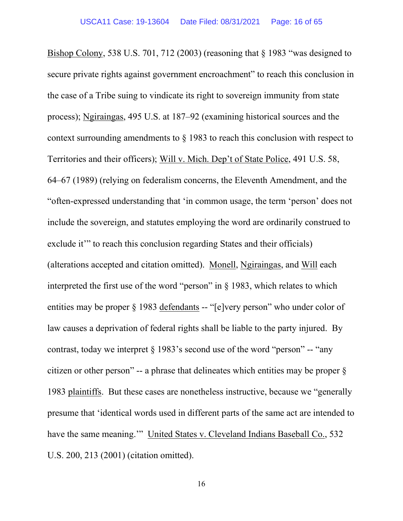Bishop Colony, 538 U.S. 701, 712 (2003) (reasoning that § 1983 "was designed to secure private rights against government encroachment" to reach this conclusion in the case of a Tribe suing to vindicate its right to sovereign immunity from state process); Ngiraingas, 495 U.S. at 187–92 (examining historical sources and the context surrounding amendments to  $\S$  1983 to reach this conclusion with respect to Territories and their officers); Will v. Mich. Dep't of State Police, 491 U.S. 58, 64–67 (1989) (relying on federalism concerns, the Eleventh Amendment, and the "often-expressed understanding that 'in common usage, the term 'person' does not include the sovereign, and statutes employing the word are ordinarily construed to exclude it" to reach this conclusion regarding States and their officials) (alterations accepted and citation omitted). Monell, Ngiraingas, and Will each interpreted the first use of the word "person" in  $\S$  1983, which relates to which entities may be proper § 1983 defendants -- "[e]very person" who under color of law causes a deprivation of federal rights shall be liable to the party injured. By contrast, today we interpret  $\S 1983$ 's second use of the word "person" -- "any citizen or other person" -- a phrase that delineates which entities may be proper § 1983 plaintiffs. But these cases are nonetheless instructive, because we "generally presume that 'identical words used in different parts of the same act are intended to have the same meaning." United States v. Cleveland Indians Baseball Co., 532 U.S. 200, 213 (2001) (citation omitted).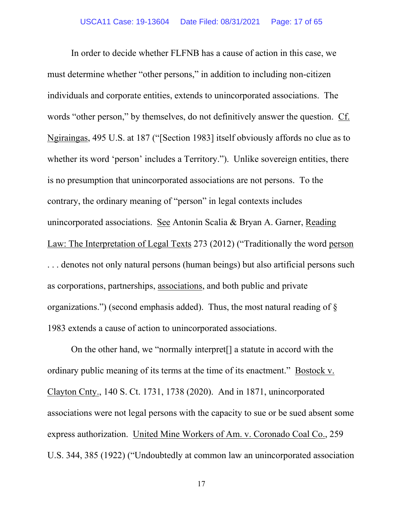In order to decide whether FLFNB has a cause of action in this case, we must determine whether "other persons," in addition to including non-citizen individuals and corporate entities, extends to unincorporated associations. The words "other person," by themselves, do not definitively answer the question. Cf. Ngiraingas, 495 U.S. at 187 ("[Section 1983] itself obviously affords no clue as to whether its word 'person' includes a Territory."). Unlike sovereign entities, there is no presumption that unincorporated associations are not persons. To the contrary, the ordinary meaning of "person" in legal contexts includes unincorporated associations. See Antonin Scalia & Bryan A. Garner, Reading Law: The Interpretation of Legal Texts 273 (2012) ("Traditionally the word person . . . denotes not only natural persons (human beings) but also artificial persons such as corporations, partnerships, associations, and both public and private organizations.") (second emphasis added). Thus, the most natural reading of § 1983 extends a cause of action to unincorporated associations.

On the other hand, we "normally interpret[] a statute in accord with the ordinary public meaning of its terms at the time of its enactment." Bostock v. Clayton Cnty., 140 S. Ct. 1731, 1738 (2020). And in 1871, unincorporated associations were not legal persons with the capacity to sue or be sued absent some express authorization. United Mine Workers of Am. v. Coronado Coal Co., 259 U.S. 344, 385 (1922) ("Undoubtedly at common law an unincorporated association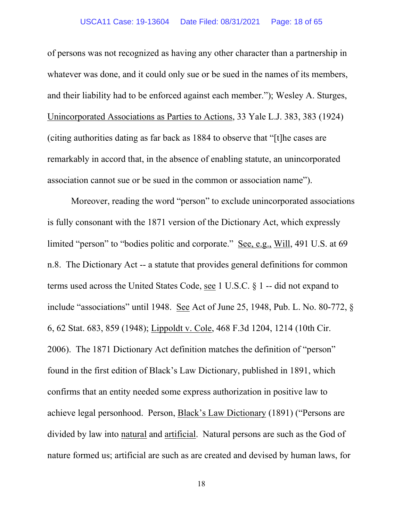#### USCA11 Case: 19-13604 Date Filed: 08/31/2021 Page: 18 of 65

of persons was not recognized as having any other character than a partnership in whatever was done, and it could only sue or be sued in the names of its members, and their liability had to be enforced against each member."); Wesley A. Sturges, Unincorporated Associations as Parties to Actions, 33 Yale L.J. 383, 383 (1924) (citing authorities dating as far back as 1884 to observe that "[t]he cases are remarkably in accord that, in the absence of enabling statute, an unincorporated association cannot sue or be sued in the common or association name").

Moreover, reading the word "person" to exclude unincorporated associations is fully consonant with the 1871 version of the Dictionary Act, which expressly limited "person" to "bodies politic and corporate." See, e.g., Will, 491 U.S. at 69 n.8. The Dictionary Act -- a statute that provides general definitions for common terms used across the United States Code, see 1 U.S.C. § 1 -- did not expand to include "associations" until 1948. See Act of June 25, 1948, Pub. L. No. 80-772, § 6, 62 Stat. 683, 859 (1948); Lippoldt v. Cole, 468 F.3d 1204, 1214 (10th Cir. 2006). The 1871 Dictionary Act definition matches the definition of "person" found in the first edition of Black's Law Dictionary, published in 1891, which confirms that an entity needed some express authorization in positive law to achieve legal personhood. Person, Black's Law Dictionary (1891) ("Persons are divided by law into natural and artificial. Natural persons are such as the God of nature formed us; artificial are such as are created and devised by human laws, for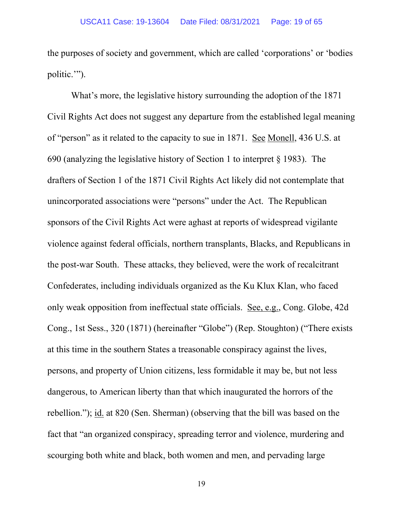the purposes of society and government, which are called 'corporations' or 'bodies politic.'").

What's more, the legislative history surrounding the adoption of the 1871 Civil Rights Act does not suggest any departure from the established legal meaning of "person" as it related to the capacity to sue in 1871. See Monell, 436 U.S. at 690 (analyzing the legislative history of Section 1 to interpret § 1983). The drafters of Section 1 of the 1871 Civil Rights Act likely did not contemplate that unincorporated associations were "persons" under the Act. The Republican sponsors of the Civil Rights Act were aghast at reports of widespread vigilante violence against federal officials, northern transplants, Blacks, and Republicans in the post-war South. These attacks, they believed, were the work of recalcitrant Confederates, including individuals organized as the Ku Klux Klan, who faced only weak opposition from ineffectual state officials. See, e.g., Cong. Globe, 42d Cong., 1st Sess., 320 (1871) (hereinafter "Globe") (Rep. Stoughton) ("There exists at this time in the southern States a treasonable conspiracy against the lives, persons, and property of Union citizens, less formidable it may be, but not less dangerous, to American liberty than that which inaugurated the horrors of the rebellion."); id. at 820 (Sen. Sherman) (observing that the bill was based on the fact that "an organized conspiracy, spreading terror and violence, murdering and scourging both white and black, both women and men, and pervading large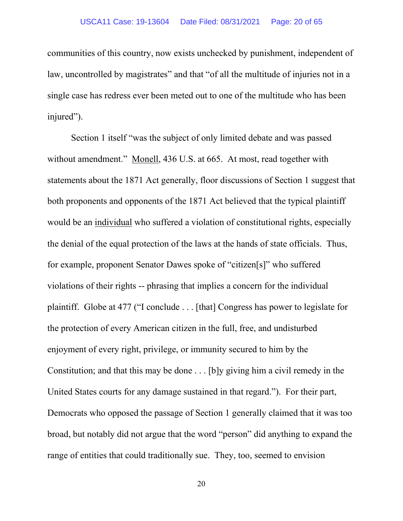#### USCA11 Case: 19-13604 Date Filed: 08/31/2021 Page: 20 of 65

communities of this country, now exists unchecked by punishment, independent of law, uncontrolled by magistrates" and that "of all the multitude of injuries not in a single case has redress ever been meted out to one of the multitude who has been injured").

Section 1 itself "was the subject of only limited debate and was passed without amendment." Monell, 436 U.S. at 665. At most, read together with statements about the 1871 Act generally, floor discussions of Section 1 suggest that both proponents and opponents of the 1871 Act believed that the typical plaintiff would be an individual who suffered a violation of constitutional rights, especially the denial of the equal protection of the laws at the hands of state officials. Thus, for example, proponent Senator Dawes spoke of "citizen[s]" who suffered violations of their rights -- phrasing that implies a concern for the individual plaintiff. Globe at 477 ("I conclude . . . [that] Congress has power to legislate for the protection of every American citizen in the full, free, and undisturbed enjoyment of every right, privilege, or immunity secured to him by the Constitution; and that this may be done . . . [b]y giving him a civil remedy in the United States courts for any damage sustained in that regard."). For their part, Democrats who opposed the passage of Section 1 generally claimed that it was too broad, but notably did not argue that the word "person" did anything to expand the range of entities that could traditionally sue. They, too, seemed to envision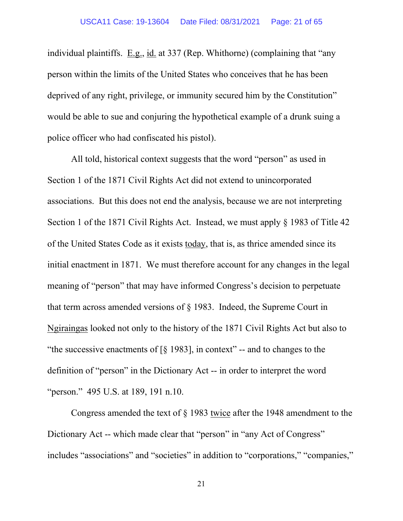individual plaintiffs. E.g., id. at 337 (Rep. Whithorne) (complaining that "any person within the limits of the United States who conceives that he has been deprived of any right, privilege, or immunity secured him by the Constitution" would be able to sue and conjuring the hypothetical example of a drunk suing a police officer who had confiscated his pistol).

All told, historical context suggests that the word "person" as used in Section 1 of the 1871 Civil Rights Act did not extend to unincorporated associations. But this does not end the analysis, because we are not interpreting Section 1 of the 1871 Civil Rights Act. Instead, we must apply § 1983 of Title 42 of the United States Code as it exists today, that is, as thrice amended since its initial enactment in 1871. We must therefore account for any changes in the legal meaning of "person" that may have informed Congress's decision to perpetuate that term across amended versions of § 1983. Indeed, the Supreme Court in Ngiraingas looked not only to the history of the 1871 Civil Rights Act but also to "the successive enactments of  $\lceil \xi \rceil$  1983], in context" -- and to changes to the definition of "person" in the Dictionary Act -- in order to interpret the word "person." 495 U.S. at 189, 191 n.10.

Congress amended the text of § 1983 twice after the 1948 amendment to the Dictionary Act -- which made clear that "person" in "any Act of Congress" includes "associations" and "societies" in addition to "corporations," "companies,"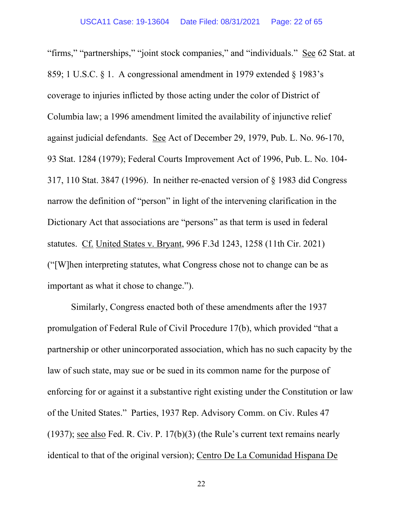"firms," "partnerships," "joint stock companies," and "individuals." See 62 Stat. at 859; 1 U.S.C. § 1. A congressional amendment in 1979 extended § 1983's coverage to injuries inflicted by those acting under the color of District of Columbia law; a 1996 amendment limited the availability of injunctive relief against judicial defendants. See Act of December 29, 1979, Pub. L. No. 96-170, 93 Stat. 1284 (1979); Federal Courts Improvement Act of 1996, Pub. L. No. 104- 317, 110 Stat. 3847 (1996). In neither re-enacted version of § 1983 did Congress narrow the definition of "person" in light of the intervening clarification in the Dictionary Act that associations are "persons" as that term is used in federal statutes. Cf. United States v. Bryant, 996 F.3d 1243, 1258 (11th Cir. 2021) ("[W]hen interpreting statutes, what Congress chose not to change can be as important as what it chose to change.").

Similarly, Congress enacted both of these amendments after the 1937 promulgation of Federal Rule of Civil Procedure 17(b), which provided "that a partnership or other unincorporated association, which has no such capacity by the law of such state, may sue or be sued in its common name for the purpose of enforcing for or against it a substantive right existing under the Constitution or law of the United States." Parties, 1937 Rep. Advisory Comm. on Civ. Rules 47 (1937); see also Fed. R. Civ. P. 17(b)(3) (the Rule's current text remains nearly identical to that of the original version); Centro De La Comunidad Hispana De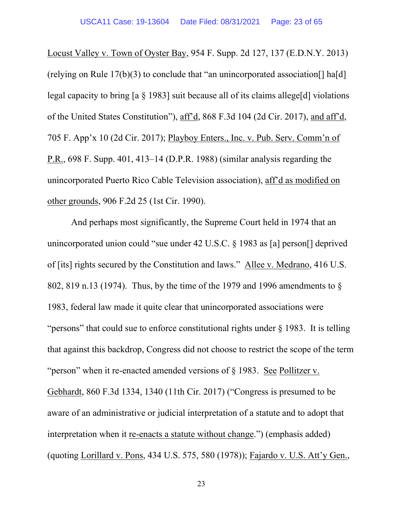Locust Valley v. Town of Oyster Bay, 954 F. Supp. 2d 127, 137 (E.D.N.Y. 2013) (relying on Rule  $17(b)(3)$  to conclude that "an unincorporated association [] ha[d] legal capacity to bring [a § 1983] suit because all of its claims allege[d] violations of the United States Constitution"), aff'd, 868 F.3d 104 (2d Cir. 2017), and aff'd, 705 F. App'x 10 (2d Cir. 2017); Playboy Enters., Inc. v. Pub. Serv. Comm'n of P.R., 698 F. Supp. 401, 413–14 (D.P.R. 1988) (similar analysis regarding the unincorporated Puerto Rico Cable Television association), aff'd as modified on other grounds, 906 F.2d 25 (1st Cir. 1990).

And perhaps most significantly, the Supreme Court held in 1974 that an unincorporated union could "sue under 42 U.S.C. § 1983 as [a] person[] deprived of [its] rights secured by the Constitution and laws." Allee v. Medrano, 416 U.S. 802, 819 n.13 (1974). Thus, by the time of the 1979 and 1996 amendments to § 1983, federal law made it quite clear that unincorporated associations were "persons" that could sue to enforce constitutional rights under § 1983. It is telling that against this backdrop, Congress did not choose to restrict the scope of the term "person" when it re-enacted amended versions of § 1983. See Pollitzer v. Gebhardt, 860 F.3d 1334, 1340 (11th Cir. 2017) ("Congress is presumed to be aware of an administrative or judicial interpretation of a statute and to adopt that interpretation when it re-enacts a statute without change.") (emphasis added) (quoting Lorillard v. Pons, 434 U.S. 575, 580 (1978)); Fajardo v. U.S. Att'y Gen.,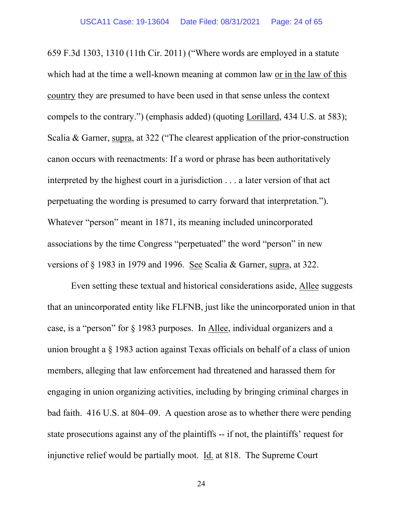659 F.3d 1303, 1310 (11th Cir. 2011) ("Where words are employed in a statute which had at the time a well-known meaning at common law or in the law of this country they are presumed to have been used in that sense unless the context compels to the contrary.") (emphasis added) (quoting Lorillard, 434 U.S. at 583); Scalia & Garner, supra, at 322 ("The clearest application of the prior-construction canon occurs with reenactments: If a word or phrase has been authoritatively interpreted by the highest court in a jurisdiction . . . a later version of that act perpetuating the wording is presumed to carry forward that interpretation."). Whatever "person" meant in 1871, its meaning included unincorporated associations by the time Congress "perpetuated" the word "person" in new versions of § 1983 in 1979 and 1996. See Scalia & Garner, supra, at 322.

Even setting these textual and historical considerations aside, Allee suggests that an unincorporated entity like FLFNB, just like the unincorporated union in that case, is a "person" for § 1983 purposes. In Allee, individual organizers and a union brought a § 1983 action against Texas officials on behalf of a class of union members, alleging that law enforcement had threatened and harassed them for engaging in union organizing activities, including by bringing criminal charges in bad faith. 416 U.S. at 804–09. A question arose as to whether there were pending state prosecutions against any of the plaintiffs -- if not, the plaintiffs' request for injunctive relief would be partially moot. Id. at 818. The Supreme Court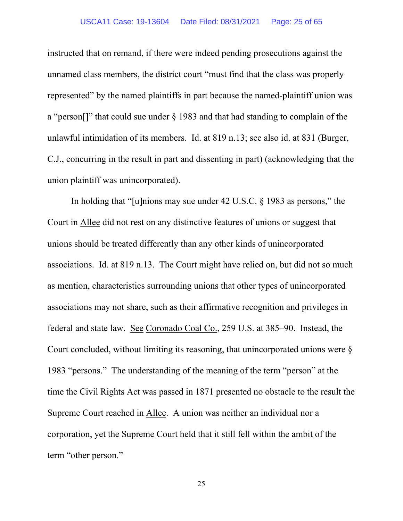#### USCA11 Case: 19-13604 Date Filed: 08/31/2021 Page: 25 of 65

instructed that on remand, if there were indeed pending prosecutions against the unnamed class members, the district court "must find that the class was properly represented" by the named plaintiffs in part because the named-plaintiff union was a "person[]" that could sue under § 1983 and that had standing to complain of the unlawful intimidation of its members. Id. at 819 n.13; see also id. at 831 (Burger, C.J., concurring in the result in part and dissenting in part) (acknowledging that the union plaintiff was unincorporated).

In holding that "[u]nions may sue under 42 U.S.C. § 1983 as persons," the Court in Allee did not rest on any distinctive features of unions or suggest that unions should be treated differently than any other kinds of unincorporated associations. Id. at 819 n.13. The Court might have relied on, but did not so much as mention, characteristics surrounding unions that other types of unincorporated associations may not share, such as their affirmative recognition and privileges in federal and state law. See Coronado Coal Co., 259 U.S. at 385–90. Instead, the Court concluded, without limiting its reasoning, that unincorporated unions were § 1983 "persons." The understanding of the meaning of the term "person" at the time the Civil Rights Act was passed in 1871 presented no obstacle to the result the Supreme Court reached in Allee. A union was neither an individual nor a corporation, yet the Supreme Court held that it still fell within the ambit of the term "other person."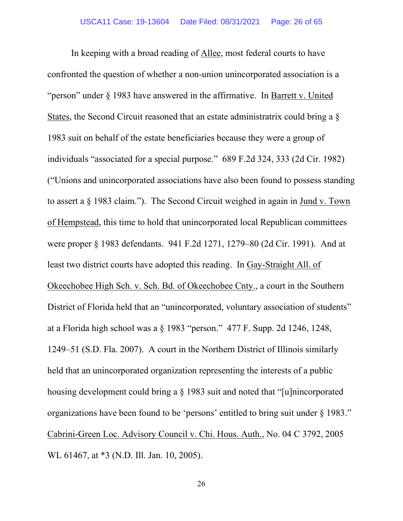In keeping with a broad reading of Allee, most federal courts to have confronted the question of whether a non-union unincorporated association is a "person" under § 1983 have answered in the affirmative. In Barrett v. United States, the Second Circuit reasoned that an estate administratrix could bring a § 1983 suit on behalf of the estate beneficiaries because they were a group of individuals "associated for a special purpose." 689 F.2d 324, 333 (2d Cir. 1982) ("Unions and unincorporated associations have also been found to possess standing to assert a § 1983 claim."). The Second Circuit weighed in again in Jund v. Town of Hempstead, this time to hold that unincorporated local Republican committees were proper § 1983 defendants. 941 F.2d 1271, 1279–80 (2d Cir. 1991). And at least two district courts have adopted this reading. In Gay-Straight All. of Okeechobee High Sch. v. Sch. Bd. of Okeechobee Cnty., a court in the Southern District of Florida held that an "unincorporated, voluntary association of students" at a Florida high school was a § 1983 "person." 477 F. Supp. 2d 1246, 1248, 1249–51 (S.D. Fla. 2007). A court in the Northern District of Illinois similarly held that an unincorporated organization representing the interests of a public housing development could bring a § 1983 suit and noted that "[u]nincorporated organizations have been found to be 'persons' entitled to bring suit under § 1983." Cabrini-Green Loc. Advisory Council v. Chi. Hous. Auth., No. 04 C 3792, 2005 WL 61467, at \*3 (N.D. Ill. Jan. 10, 2005).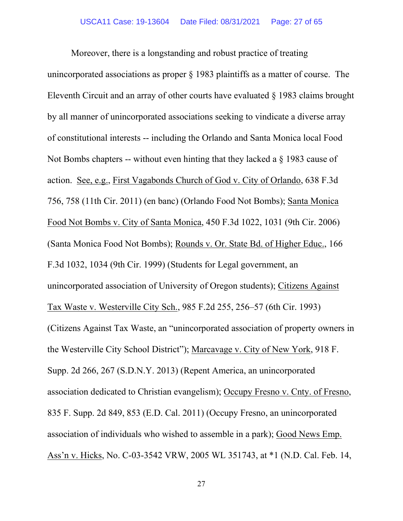Moreover, there is a longstanding and robust practice of treating unincorporated associations as proper § 1983 plaintiffs as a matter of course. The Eleventh Circuit and an array of other courts have evaluated § 1983 claims brought by all manner of unincorporated associations seeking to vindicate a diverse array of constitutional interests -- including the Orlando and Santa Monica local Food Not Bombs chapters -- without even hinting that they lacked a § 1983 cause of action. See, e.g., First Vagabonds Church of God v. City of Orlando, 638 F.3d 756, 758 (11th Cir. 2011) (en banc) (Orlando Food Not Bombs); Santa Monica Food Not Bombs v. City of Santa Monica, 450 F.3d 1022, 1031 (9th Cir. 2006) (Santa Monica Food Not Bombs); Rounds v. Or. State Bd. of Higher Educ., 166 F.3d 1032, 1034 (9th Cir. 1999) (Students for Legal government, an unincorporated association of University of Oregon students); Citizens Against Tax Waste v. Westerville City Sch., 985 F.2d 255, 256–57 (6th Cir. 1993) (Citizens Against Tax Waste, an "unincorporated association of property owners in the Westerville City School District"); Marcavage v. City of New York, 918 F. Supp. 2d 266, 267 (S.D.N.Y. 2013) (Repent America, an unincorporated association dedicated to Christian evangelism); Occupy Fresno v. Cnty. of Fresno, 835 F. Supp. 2d 849, 853 (E.D. Cal. 2011) (Occupy Fresno, an unincorporated association of individuals who wished to assemble in a park); Good News Emp. Ass'n v. Hicks, No. C-03-3542 VRW, 2005 WL 351743, at \*1 (N.D. Cal. Feb. 14,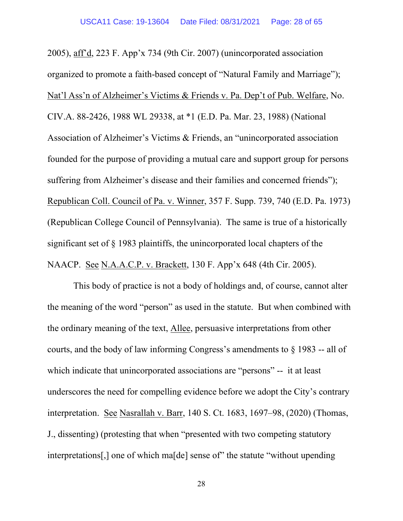2005), aff'd, 223 F. App'x 734 (9th Cir. 2007) (unincorporated association organized to promote a faith-based concept of "Natural Family and Marriage"); Nat'l Ass'n of Alzheimer's Victims & Friends v. Pa. Dep't of Pub. Welfare, No. CIV.A. 88-2426, 1988 WL 29338, at \*1 (E.D. Pa. Mar. 23, 1988) (National Association of Alzheimer's Victims & Friends, an "unincorporated association founded for the purpose of providing a mutual care and support group for persons suffering from Alzheimer's disease and their families and concerned friends"); Republican Coll. Council of Pa. v. Winner, 357 F. Supp. 739, 740 (E.D. Pa. 1973) (Republican College Council of Pennsylvania). The same is true of a historically significant set of § 1983 plaintiffs, the unincorporated local chapters of the NAACP. See N.A.A.C.P. v. Brackett, 130 F. App'x 648 (4th Cir. 2005).

This body of practice is not a body of holdings and, of course, cannot alter the meaning of the word "person" as used in the statute. But when combined with the ordinary meaning of the text, Allee, persuasive interpretations from other courts, and the body of law informing Congress's amendments to § 1983 -- all of which indicate that unincorporated associations are "persons" -- it at least underscores the need for compelling evidence before we adopt the City's contrary interpretation. See Nasrallah v. Barr, 140 S. Ct. 1683, 1697–98, (2020) (Thomas, J., dissenting) (protesting that when "presented with two competing statutory interpretations[,] one of which ma[de] sense of" the statute "without upending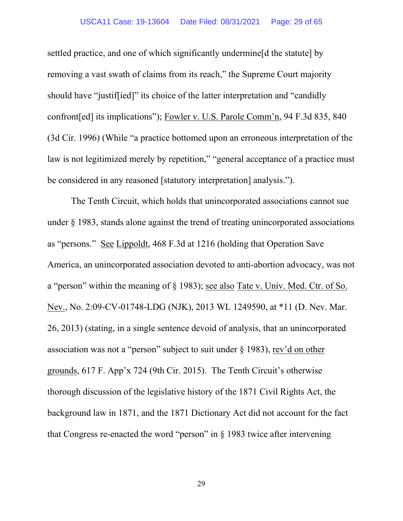settled practice, and one of which significantly undermine[d the statute] by removing a vast swath of claims from its reach," the Supreme Court majority should have "justif[ied]" its choice of the latter interpretation and "candidly confront[ed] its implications"); Fowler v. U.S. Parole Comm'n, 94 F.3d 835, 840 (3d Cir. 1996) (While "a practice bottomed upon an erroneous interpretation of the law is not legitimized merely by repetition," "general acceptance of a practice must be considered in any reasoned [statutory interpretation] analysis.").

The Tenth Circuit, which holds that unincorporated associations cannot sue under § 1983, stands alone against the trend of treating unincorporated associations as "persons." See Lippoldt, 468 F.3d at 1216 (holding that Operation Save America, an unincorporated association devoted to anti-abortion advocacy, was not a "person" within the meaning of § 1983); see also Tate v. Univ. Med. Ctr. of So. Nev., No. 2:09-CV-01748-LDG (NJK), 2013 WL 1249590, at \*11 (D. Nev. Mar. 26, 2013) (stating, in a single sentence devoid of analysis, that an unincorporated association was not a "person" subject to suit under § 1983), rev'd on other grounds, 617 F. App'x 724 (9th Cir. 2015). The Tenth Circuit's otherwise thorough discussion of the legislative history of the 1871 Civil Rights Act, the background law in 1871, and the 1871 Dictionary Act did not account for the fact that Congress re-enacted the word "person" in  $\S$  1983 twice after intervening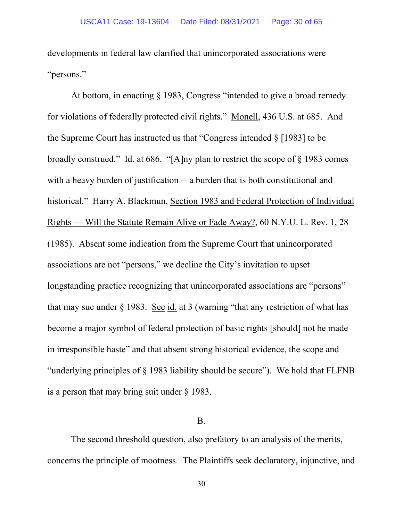developments in federal law clarified that unincorporated associations were "persons."

At bottom, in enacting § 1983, Congress "intended to give a broad remedy for violations of federally protected civil rights." Monell, 436 U.S. at 685. And the Supreme Court has instructed us that "Congress intended  $\S$  [1983] to be broadly construed." Id. at 686. "[A]ny plan to restrict the scope of § 1983 comes with a heavy burden of justification -- a burden that is both constitutional and historical." Harry A. Blackmun, Section 1983 and Federal Protection of Individual Rights — Will the Statute Remain Alive or Fade Away?, 60 N.Y.U. L. Rev. 1, 28 (1985). Absent some indication from the Supreme Court that unincorporated associations are not "persons," we decline the City's invitation to upset longstanding practice recognizing that unincorporated associations are "persons" that may sue under  $\S$  1983. See id. at 3 (warning "that any restriction of what has become a major symbol of federal protection of basic rights [should] not be made in irresponsible haste" and that absent strong historical evidence, the scope and "underlying principles of § 1983 liability should be secure"). We hold that FLFNB is a person that may bring suit under § 1983.

### B.

The second threshold question, also prefatory to an analysis of the merits, concerns the principle of mootness. The Plaintiffs seek declaratory, injunctive, and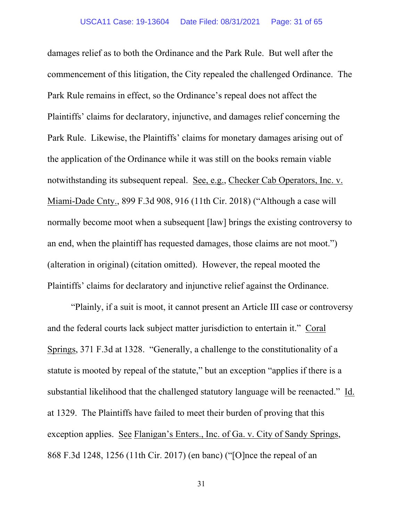damages relief as to both the Ordinance and the Park Rule. But well after the commencement of this litigation, the City repealed the challenged Ordinance. The Park Rule remains in effect, so the Ordinance's repeal does not affect the Plaintiffs' claims for declaratory, injunctive, and damages relief concerning the Park Rule. Likewise, the Plaintiffs' claims for monetary damages arising out of the application of the Ordinance while it was still on the books remain viable notwithstanding its subsequent repeal. See, e.g., Checker Cab Operators, Inc. v. Miami-Dade Cnty., 899 F.3d 908, 916 (11th Cir. 2018) ("Although a case will normally become moot when a subsequent [law] brings the existing controversy to an end, when the plaintiff has requested damages, those claims are not moot.") (alteration in original) (citation omitted). However, the repeal mooted the Plaintiffs' claims for declaratory and injunctive relief against the Ordinance.

"Plainly, if a suit is moot, it cannot present an Article III case or controversy and the federal courts lack subject matter jurisdiction to entertain it." Coral Springs, 371 F.3d at 1328. "Generally, a challenge to the constitutionality of a statute is mooted by repeal of the statute," but an exception "applies if there is a substantial likelihood that the challenged statutory language will be reenacted." Id. at 1329. The Plaintiffs have failed to meet their burden of proving that this exception applies. See Flanigan's Enters., Inc. of Ga. v. City of Sandy Springs, 868 F.3d 1248, 1256 (11th Cir. 2017) (en banc) ("[O]nce the repeal of an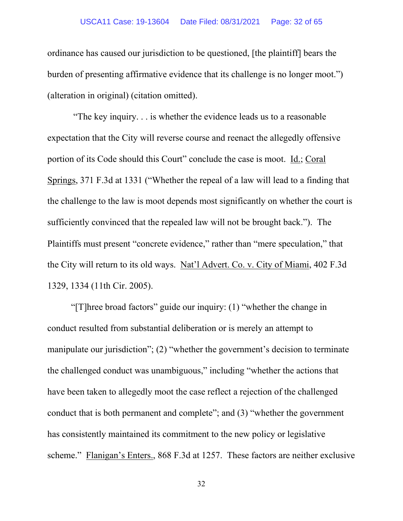#### USCA11 Case: 19-13604 Date Filed: 08/31/2021 Page: 32 of 65

ordinance has caused our jurisdiction to be questioned, [the plaintiff] bears the burden of presenting affirmative evidence that its challenge is no longer moot.") (alteration in original) (citation omitted).

"The key inquiry. . . is whether the evidence leads us to a reasonable expectation that the City will reverse course and reenact the allegedly offensive portion of its Code should this Court" conclude the case is moot. Id.; Coral Springs, 371 F.3d at 1331 ("Whether the repeal of a law will lead to a finding that the challenge to the law is moot depends most significantly on whether the court is sufficiently convinced that the repealed law will not be brought back."). The Plaintiffs must present "concrete evidence," rather than "mere speculation," that the City will return to its old ways. Nat'l Advert. Co. v. City of Miami, 402 F.3d 1329, 1334 (11th Cir. 2005).

"[T]hree broad factors" guide our inquiry: (1) "whether the change in conduct resulted from substantial deliberation or is merely an attempt to manipulate our jurisdiction"; (2) "whether the government's decision to terminate the challenged conduct was unambiguous," including "whether the actions that have been taken to allegedly moot the case reflect a rejection of the challenged conduct that is both permanent and complete"; and (3) "whether the government has consistently maintained its commitment to the new policy or legislative scheme." Flanigan's Enters., 868 F.3d at 1257. These factors are neither exclusive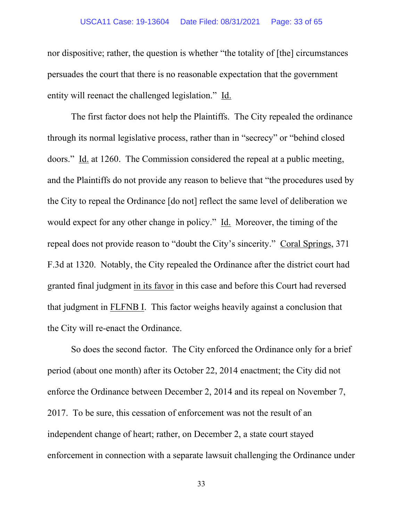#### USCA11 Case: 19-13604 Date Filed: 08/31/2021 Page: 33 of 65

nor dispositive; rather, the question is whether "the totality of [the] circumstances persuades the court that there is no reasonable expectation that the government entity will reenact the challenged legislation." Id.

The first factor does not help the Plaintiffs. The City repealed the ordinance through its normal legislative process, rather than in "secrecy" or "behind closed doors." Id. at 1260. The Commission considered the repeal at a public meeting, and the Plaintiffs do not provide any reason to believe that "the procedures used by the City to repeal the Ordinance [do not] reflect the same level of deliberation we would expect for any other change in policy." Id. Moreover, the timing of the repeal does not provide reason to "doubt the City's sincerity." Coral Springs, 371 F.3d at 1320. Notably, the City repealed the Ordinance after the district court had granted final judgment in its favor in this case and before this Court had reversed that judgment in FLFNB I. This factor weighs heavily against a conclusion that the City will re-enact the Ordinance.

So does the second factor. The City enforced the Ordinance only for a brief period (about one month) after its October 22, 2014 enactment; the City did not enforce the Ordinance between December 2, 2014 and its repeal on November 7, 2017. To be sure, this cessation of enforcement was not the result of an independent change of heart; rather, on December 2, a state court stayed enforcement in connection with a separate lawsuit challenging the Ordinance under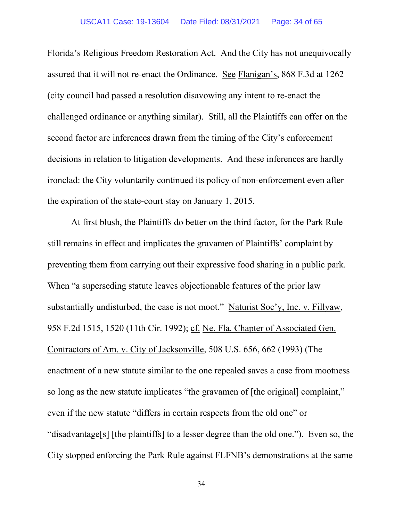Florida's Religious Freedom Restoration Act. And the City has not unequivocally assured that it will not re-enact the Ordinance. See Flanigan's, 868 F.3d at 1262 (city council had passed a resolution disavowing any intent to re-enact the challenged ordinance or anything similar). Still, all the Plaintiffs can offer on the second factor are inferences drawn from the timing of the City's enforcement decisions in relation to litigation developments. And these inferences are hardly ironclad: the City voluntarily continued its policy of non-enforcement even after the expiration of the state-court stay on January 1, 2015.

At first blush, the Plaintiffs do better on the third factor, for the Park Rule still remains in effect and implicates the gravamen of Plaintiffs' complaint by preventing them from carrying out their expressive food sharing in a public park. When "a superseding statute leaves objectionable features of the prior law substantially undisturbed, the case is not moot." Naturist Soc'y, Inc. v. Fillyaw, 958 F.2d 1515, 1520 (11th Cir. 1992); cf. Ne. Fla. Chapter of Associated Gen. Contractors of Am. v. City of Jacksonville, 508 U.S. 656, 662 (1993) (The enactment of a new statute similar to the one repealed saves a case from mootness so long as the new statute implicates "the gravamen of [the original] complaint," even if the new statute "differs in certain respects from the old one" or "disadvantage[s] [the plaintiffs] to a lesser degree than the old one."). Even so, the City stopped enforcing the Park Rule against FLFNB's demonstrations at the same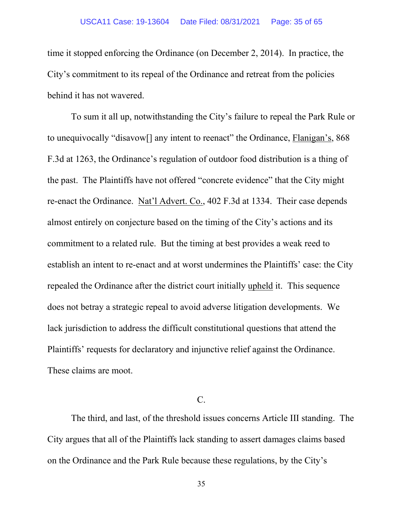time it stopped enforcing the Ordinance (on December 2, 2014). In practice, the City's commitment to its repeal of the Ordinance and retreat from the policies behind it has not wavered.

To sum it all up, notwithstanding the City's failure to repeal the Park Rule or to unequivocally "disavow[] any intent to reenact" the Ordinance, Flanigan's, 868 F.3d at 1263, the Ordinance's regulation of outdoor food distribution is a thing of the past. The Plaintiffs have not offered "concrete evidence" that the City might re-enact the Ordinance. Nat'l Advert. Co., 402 F.3d at 1334. Their case depends almost entirely on conjecture based on the timing of the City's actions and its commitment to a related rule. But the timing at best provides a weak reed to establish an intent to re-enact and at worst undermines the Plaintiffs' case: the City repealed the Ordinance after the district court initially upheld it. This sequence does not betray a strategic repeal to avoid adverse litigation developments. We lack jurisdiction to address the difficult constitutional questions that attend the Plaintiffs' requests for declaratory and injunctive relief against the Ordinance. These claims are moot.

## $C_{\cdot}$

The third, and last, of the threshold issues concerns Article III standing. The City argues that all of the Plaintiffs lack standing to assert damages claims based on the Ordinance and the Park Rule because these regulations, by the City's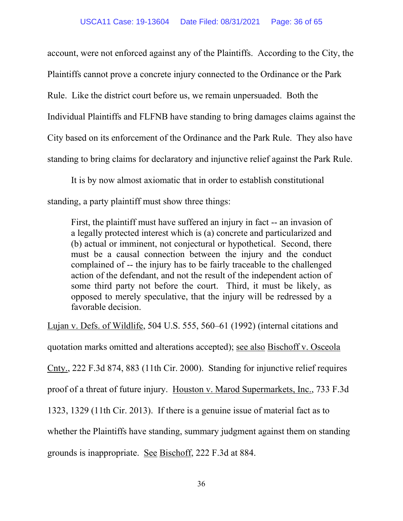account, were not enforced against any of the Plaintiffs. According to the City, the Plaintiffs cannot prove a concrete injury connected to the Ordinance or the Park Rule. Like the district court before us, we remain unpersuaded. Both the Individual Plaintiffs and FLFNB have standing to bring damages claims against the City based on its enforcement of the Ordinance and the Park Rule. They also have standing to bring claims for declaratory and injunctive relief against the Park Rule.

It is by now almost axiomatic that in order to establish constitutional standing, a party plaintiff must show three things:

First, the plaintiff must have suffered an injury in fact -- an invasion of a legally protected interest which is (a) concrete and particularized and (b) actual or imminent, not conjectural or hypothetical. Second, there must be a causal connection between the injury and the conduct complained of -- the injury has to be fairly traceable to the challenged action of the defendant, and not the result of the independent action of some third party not before the court. Third, it must be likely, as opposed to merely speculative, that the injury will be redressed by a favorable decision.

Lujan v. Defs. of Wildlife, 504 U.S. 555, 560–61 (1992) (internal citations and quotation marks omitted and alterations accepted); see also Bischoff v. Osceola Cnty., 222 F.3d 874, 883 (11th Cir. 2000). Standing for injunctive relief requires proof of a threat of future injury. Houston v. Marod Supermarkets, Inc., 733 F.3d 1323, 1329 (11th Cir. 2013). If there is a genuine issue of material fact as to whether the Plaintiffs have standing, summary judgment against them on standing grounds is inappropriate. See Bischoff, 222 F.3d at 884.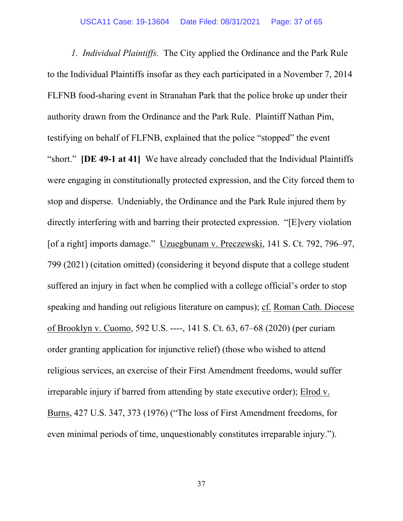*1. Individual Plaintiffs.* The City applied the Ordinance and the Park Rule to the Individual Plaintiffs insofar as they each participated in a November 7, 2014 FLFNB food-sharing event in Stranahan Park that the police broke up under their authority drawn from the Ordinance and the Park Rule. Plaintiff Nathan Pim, testifying on behalf of FLFNB, explained that the police "stopped" the event "short." **[DE 49-1 at 41]** We have already concluded that the Individual Plaintiffs were engaging in constitutionally protected expression, and the City forced them to stop and disperse. Undeniably, the Ordinance and the Park Rule injured them by directly interfering with and barring their protected expression. "[E]very violation [of a right] imports damage." Uzuegbunam v. Preczewski, 141 S. Ct. 792, 796–97, 799 (2021) (citation omitted) (considering it beyond dispute that a college student suffered an injury in fact when he complied with a college official's order to stop speaking and handing out religious literature on campus); cf. Roman Cath. Diocese of Brooklyn v. Cuomo, 592 U.S. ----, 141 S. Ct. 63, 67–68 (2020) (per curiam order granting application for injunctive relief) (those who wished to attend religious services, an exercise of their First Amendment freedoms, would suffer irreparable injury if barred from attending by state executive order); Elrod v. Burns, 427 U.S. 347, 373 (1976) ("The loss of First Amendment freedoms, for even minimal periods of time, unquestionably constitutes irreparable injury.").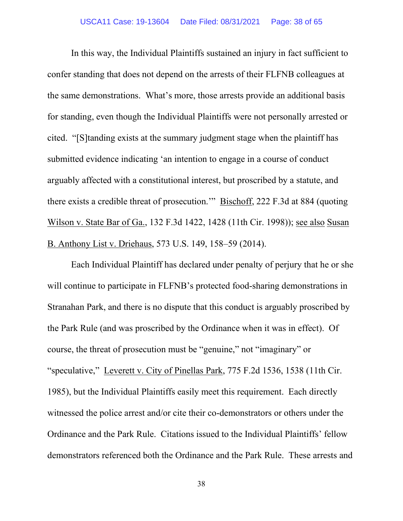In this way, the Individual Plaintiffs sustained an injury in fact sufficient to confer standing that does not depend on the arrests of their FLFNB colleagues at the same demonstrations. What's more, those arrests provide an additional basis for standing, even though the Individual Plaintiffs were not personally arrested or cited. "[S]tanding exists at the summary judgment stage when the plaintiff has submitted evidence indicating 'an intention to engage in a course of conduct arguably affected with a constitutional interest, but proscribed by a statute, and there exists a credible threat of prosecution.'" Bischoff, 222 F.3d at 884 (quoting Wilson v. State Bar of Ga., 132 F.3d 1422, 1428 (11th Cir. 1998)); see also Susan B. Anthony List v. Driehaus, 573 U.S. 149, 158–59 (2014).

Each Individual Plaintiff has declared under penalty of perjury that he or she will continue to participate in FLFNB's protected food-sharing demonstrations in Stranahan Park, and there is no dispute that this conduct is arguably proscribed by the Park Rule (and was proscribed by the Ordinance when it was in effect). Of course, the threat of prosecution must be "genuine," not "imaginary" or "speculative," Leverett v. City of Pinellas Park, 775 F.2d 1536, 1538 (11th Cir. 1985), but the Individual Plaintiffs easily meet this requirement. Each directly witnessed the police arrest and/or cite their co-demonstrators or others under the Ordinance and the Park Rule. Citations issued to the Individual Plaintiffs' fellow demonstrators referenced both the Ordinance and the Park Rule. These arrests and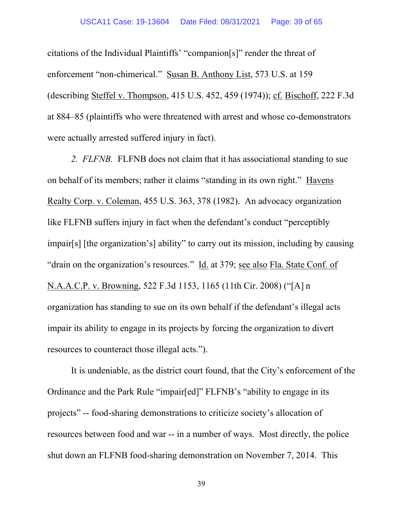citations of the Individual Plaintiffs' "companion[s]" render the threat of enforcement "non-chimerical." Susan B. Anthony List, 573 U.S. at 159 (describing Steffel v. Thompson, 415 U.S. 452, 459 (1974)); cf. Bischoff, 222 F.3d at 884–85 (plaintiffs who were threatened with arrest and whose co-demonstrators were actually arrested suffered injury in fact).

*2. FLFNB.* FLFNB does not claim that it has associational standing to sue on behalf of its members; rather it claims "standing in its own right." Havens Realty Corp. v. Coleman, 455 U.S. 363, 378 (1982). An advocacy organization like FLFNB suffers injury in fact when the defendant's conduct "perceptibly impair[s] [the organization's] ability" to carry out its mission, including by causing "drain on the organization's resources." Id. at 379; see also Fla. State Conf. of N.A.A.C.P. v. Browning, 522 F.3d 1153, 1165 (11th Cir. 2008) ("[A] n organization has standing to sue on its own behalf if the defendant's illegal acts impair its ability to engage in its projects by forcing the organization to divert resources to counteract those illegal acts.").

It is undeniable, as the district court found, that the City's enforcement of the Ordinance and the Park Rule "impair[ed]" FLFNB's "ability to engage in its projects" -- food-sharing demonstrations to criticize society's allocation of resources between food and war -- in a number of ways. Most directly, the police shut down an FLFNB food-sharing demonstration on November 7, 2014. This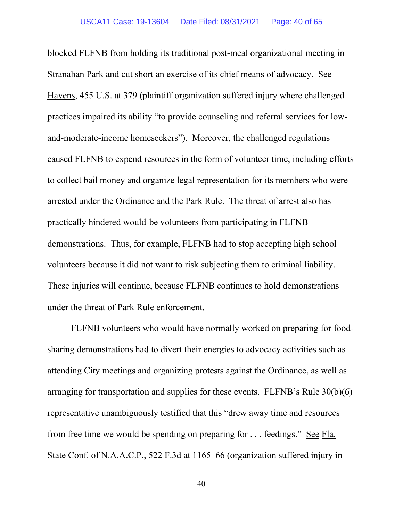blocked FLFNB from holding its traditional post-meal organizational meeting in Stranahan Park and cut short an exercise of its chief means of advocacy. See Havens, 455 U.S. at 379 (plaintiff organization suffered injury where challenged practices impaired its ability "to provide counseling and referral services for lowand-moderate-income homeseekers"). Moreover, the challenged regulations caused FLFNB to expend resources in the form of volunteer time, including efforts to collect bail money and organize legal representation for its members who were arrested under the Ordinance and the Park Rule. The threat of arrest also has practically hindered would-be volunteers from participating in FLFNB demonstrations. Thus, for example, FLFNB had to stop accepting high school volunteers because it did not want to risk subjecting them to criminal liability. These injuries will continue, because FLFNB continues to hold demonstrations under the threat of Park Rule enforcement.

FLFNB volunteers who would have normally worked on preparing for foodsharing demonstrations had to divert their energies to advocacy activities such as attending City meetings and organizing protests against the Ordinance, as well as arranging for transportation and supplies for these events. FLFNB's Rule 30(b)(6) representative unambiguously testified that this "drew away time and resources from free time we would be spending on preparing for . . . feedings." See Fla. State Conf. of N.A.A.C.P., 522 F.3d at 1165–66 (organization suffered injury in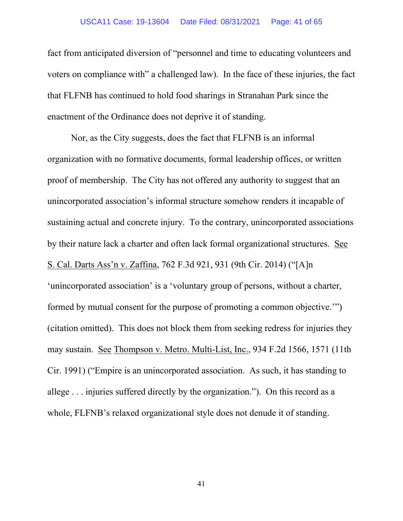#### USCA11 Case: 19-13604 Date Filed: 08/31/2021 Page: 41 of 65

fact from anticipated diversion of "personnel and time to educating volunteers and voters on compliance with" a challenged law). In the face of these injuries, the fact that FLFNB has continued to hold food sharings in Stranahan Park since the enactment of the Ordinance does not deprive it of standing.

Nor, as the City suggests, does the fact that FLFNB is an informal organization with no formative documents, formal leadership offices, or written proof of membership. The City has not offered any authority to suggest that an unincorporated association's informal structure somehow renders it incapable of sustaining actual and concrete injury. To the contrary, unincorporated associations by their nature lack a charter and often lack formal organizational structures. See S. Cal. Darts Ass'n v. Zaffina, 762 F.3d 921, 931 (9th Cir. 2014) ("[A]n 'unincorporated association' is a 'voluntary group of persons, without a charter, formed by mutual consent for the purpose of promoting a common objective.'") (citation omitted). This does not block them from seeking redress for injuries they may sustain. See Thompson v. Metro. Multi-List, Inc., 934 F.2d 1566, 1571 (11th Cir. 1991) ("Empire is an unincorporated association. As such, it has standing to allege . . . injuries suffered directly by the organization."). On this record as a whole, FLFNB's relaxed organizational style does not denude it of standing.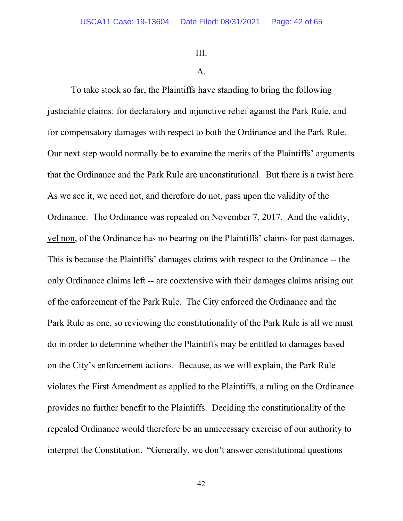III.

#### A.

To take stock so far, the Plaintiffs have standing to bring the following justiciable claims: for declaratory and injunctive relief against the Park Rule, and for compensatory damages with respect to both the Ordinance and the Park Rule. Our next step would normally be to examine the merits of the Plaintiffs' arguments that the Ordinance and the Park Rule are unconstitutional. But there is a twist here. As we see it, we need not, and therefore do not, pass upon the validity of the Ordinance. The Ordinance was repealed on November 7, 2017. And the validity, vel non, of the Ordinance has no bearing on the Plaintiffs' claims for past damages. This is because the Plaintiffs' damages claims with respect to the Ordinance -- the only Ordinance claims left -- are coextensive with their damages claims arising out of the enforcement of the Park Rule. The City enforced the Ordinance and the Park Rule as one, so reviewing the constitutionality of the Park Rule is all we must do in order to determine whether the Plaintiffs may be entitled to damages based on the City's enforcement actions. Because, as we will explain, the Park Rule violates the First Amendment as applied to the Plaintiffs, a ruling on the Ordinance provides no further benefit to the Plaintiffs. Deciding the constitutionality of the repealed Ordinance would therefore be an unnecessary exercise of our authority to interpret the Constitution. "Generally, we don't answer constitutional questions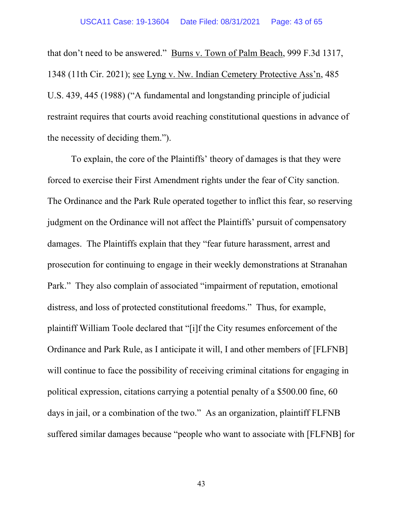that don't need to be answered." Burns v. Town of Palm Beach, 999 F.3d 1317, 1348 (11th Cir. 2021); see Lyng v. Nw. Indian Cemetery Protective Ass'n, 485 U.S. 439, 445 (1988) ("A fundamental and longstanding principle of judicial restraint requires that courts avoid reaching constitutional questions in advance of the necessity of deciding them.").

To explain, the core of the Plaintiffs' theory of damages is that they were forced to exercise their First Amendment rights under the fear of City sanction. The Ordinance and the Park Rule operated together to inflict this fear, so reserving judgment on the Ordinance will not affect the Plaintiffs' pursuit of compensatory damages. The Plaintiffs explain that they "fear future harassment, arrest and prosecution for continuing to engage in their weekly demonstrations at Stranahan Park." They also complain of associated "impairment of reputation, emotional distress, and loss of protected constitutional freedoms." Thus, for example, plaintiff William Toole declared that "[i]f the City resumes enforcement of the Ordinance and Park Rule, as I anticipate it will, I and other members of [FLFNB] will continue to face the possibility of receiving criminal citations for engaging in political expression, citations carrying a potential penalty of a \$500.00 fine, 60 days in jail, or a combination of the two." As an organization, plaintiff FLFNB suffered similar damages because "people who want to associate with [FLFNB] for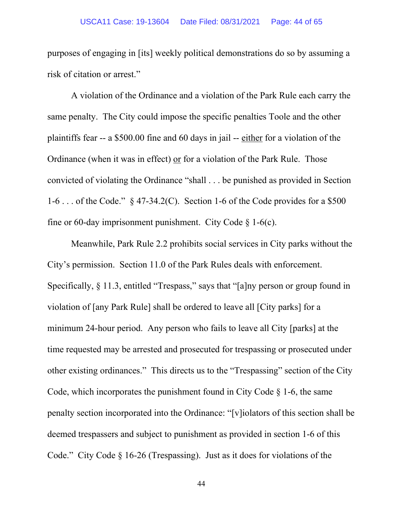purposes of engaging in [its] weekly political demonstrations do so by assuming a risk of citation or arrest."

A violation of the Ordinance and a violation of the Park Rule each carry the same penalty. The City could impose the specific penalties Toole and the other plaintiffs fear -- a \$500.00 fine and 60 days in jail -- either for a violation of the Ordinance (when it was in effect) or for a violation of the Park Rule. Those convicted of violating the Ordinance "shall . . . be punished as provided in Section 1-6 . . . of the Code." § 47-34.2(C). Section 1-6 of the Code provides for a \$500 fine or 60-day imprisonment punishment. City Code § 1-6(c).

Meanwhile, Park Rule 2.2 prohibits social services in City parks without the City's permission. Section 11.0 of the Park Rules deals with enforcement. Specifically, § 11.3, entitled "Trespass," says that "[a]ny person or group found in violation of [any Park Rule] shall be ordered to leave all [City parks] for a minimum 24-hour period. Any person who fails to leave all City [parks] at the time requested may be arrested and prosecuted for trespassing or prosecuted under other existing ordinances." This directs us to the "Trespassing" section of the City Code, which incorporates the punishment found in City Code  $\S$  1-6, the same penalty section incorporated into the Ordinance: "[v]iolators of this section shall be deemed trespassers and subject to punishment as provided in section 1-6 of this Code." City Code § 16-26 (Trespassing). Just as it does for violations of the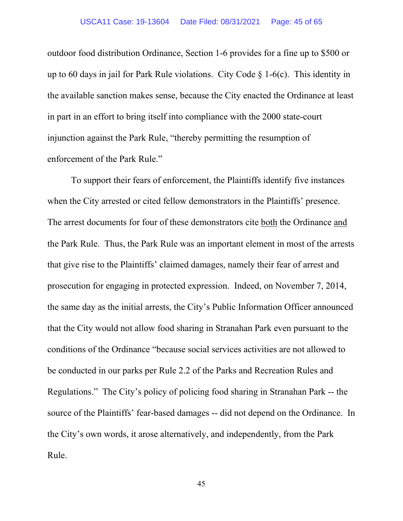outdoor food distribution Ordinance, Section 1-6 provides for a fine up to \$500 or up to 60 days in jail for Park Rule violations. City Code  $\S$  1-6(c). This identity in the available sanction makes sense, because the City enacted the Ordinance at least in part in an effort to bring itself into compliance with the 2000 state-court injunction against the Park Rule, "thereby permitting the resumption of enforcement of the Park Rule."

To support their fears of enforcement, the Plaintiffs identify five instances when the City arrested or cited fellow demonstrators in the Plaintiffs' presence. The arrest documents for four of these demonstrators cite both the Ordinance and the Park Rule. Thus, the Park Rule was an important element in most of the arrests that give rise to the Plaintiffs' claimed damages, namely their fear of arrest and prosecution for engaging in protected expression. Indeed, on November 7, 2014, the same day as the initial arrests, the City's Public Information Officer announced that the City would not allow food sharing in Stranahan Park even pursuant to the conditions of the Ordinance "because social services activities are not allowed to be conducted in our parks per Rule 2.2 of the Parks and Recreation Rules and Regulations." The City's policy of policing food sharing in Stranahan Park -- the source of the Plaintiffs' fear-based damages -- did not depend on the Ordinance. In the City's own words, it arose alternatively, and independently, from the Park Rule.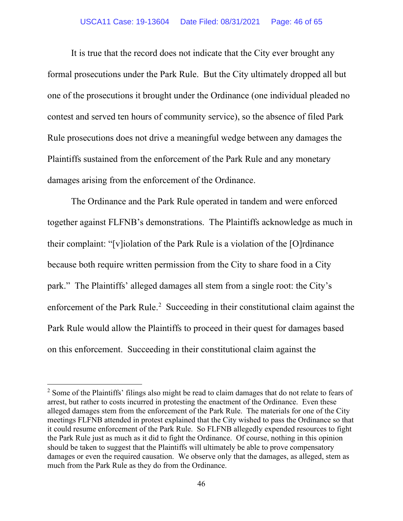It is true that the record does not indicate that the City ever brought any formal prosecutions under the Park Rule. But the City ultimately dropped all but one of the prosecutions it brought under the Ordinance (one individual pleaded no contest and served ten hours of community service), so the absence of filed Park Rule prosecutions does not drive a meaningful wedge between any damages the Plaintiffs sustained from the enforcement of the Park Rule and any monetary damages arising from the enforcement of the Ordinance.

The Ordinance and the Park Rule operated in tandem and were enforced together against FLFNB's demonstrations. The Plaintiffs acknowledge as much in their complaint: "[v]iolation of the Park Rule is a violation of the [O]rdinance because both require written permission from the City to share food in a City park." The Plaintiffs' alleged damages all stem from a single root: the City's enforcement of the Park Rule.<sup>[2](#page-45-0)</sup> Succeeding in their constitutional claim against the Park Rule would allow the Plaintiffs to proceed in their quest for damages based on this enforcement. Succeeding in their constitutional claim against the

<span id="page-45-0"></span><sup>&</sup>lt;sup>2</sup> Some of the Plaintiffs' filings also might be read to claim damages that do not relate to fears of arrest, but rather to costs incurred in protesting the enactment of the Ordinance. Even these alleged damages stem from the enforcement of the Park Rule. The materials for one of the City meetings FLFNB attended in protest explained that the City wished to pass the Ordinance so that it could resume enforcement of the Park Rule. So FLFNB allegedly expended resources to fight the Park Rule just as much as it did to fight the Ordinance. Of course, nothing in this opinion should be taken to suggest that the Plaintiffs will ultimately be able to prove compensatory damages or even the required causation. We observe only that the damages, as alleged, stem as much from the Park Rule as they do from the Ordinance.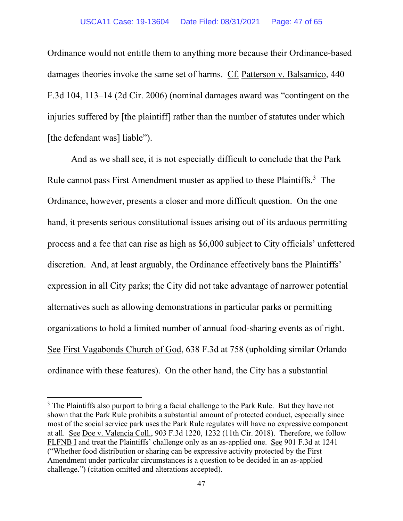Ordinance would not entitle them to anything more because their Ordinance-based damages theories invoke the same set of harms. Cf. Patterson v. Balsamico, 440 F.3d 104, 113–14 (2d Cir. 2006) (nominal damages award was "contingent on the injuries suffered by [the plaintiff] rather than the number of statutes under which [the defendant was] liable").

And as we shall see, it is not especially difficult to conclude that the Park Rule cannot pass First Amendment muster as applied to these Plaintiffs.<sup>[3](#page-46-0)</sup> The Ordinance, however, presents a closer and more difficult question. On the one hand, it presents serious constitutional issues arising out of its arduous permitting process and a fee that can rise as high as \$6,000 subject to City officials' unfettered discretion. And, at least arguably, the Ordinance effectively bans the Plaintiffs' expression in all City parks; the City did not take advantage of narrower potential alternatives such as allowing demonstrations in particular parks or permitting organizations to hold a limited number of annual food-sharing events as of right. See First Vagabonds Church of God, 638 F.3d at 758 (upholding similar Orlando ordinance with these features). On the other hand, the City has a substantial

<span id="page-46-0"></span><sup>&</sup>lt;sup>3</sup> The Plaintiffs also purport to bring a facial challenge to the Park Rule. But they have not shown that the Park Rule prohibits a substantial amount of protected conduct, especially since most of the social service park uses the Park Rule regulates will have no expressive component at all. See Doe v. Valencia Coll., 903 F.3d 1220, 1232 (11th Cir. 2018). Therefore, we follow FLFNB I and treat the Plaintiffs' challenge only as an as-applied one. See 901 F.3d at 1241 ("Whether food distribution or sharing can be expressive activity protected by the First Amendment under particular circumstances is a question to be decided in an as-applied challenge.") (citation omitted and alterations accepted).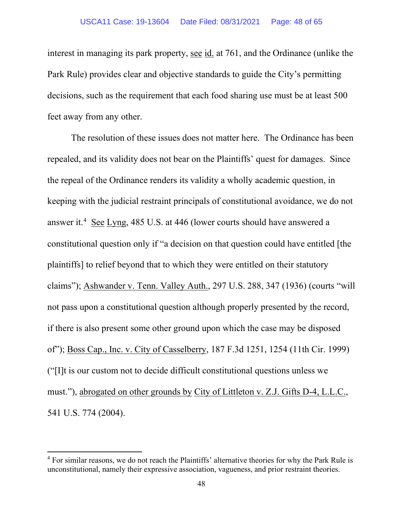interest in managing its park property, see id. at 761, and the Ordinance (unlike the Park Rule) provides clear and objective standards to guide the City's permitting decisions, such as the requirement that each food sharing use must be at least 500 feet away from any other.

The resolution of these issues does not matter here. The Ordinance has been repealed, and its validity does not bear on the Plaintiffs' quest for damages. Since the repeal of the Ordinance renders its validity a wholly academic question, in keeping with the judicial restraint principals of constitutional avoidance, we do not answer it.<sup>[4](#page-47-0)</sup> See Lyng, 485 U.S. at 446 (lower courts should have answered a constitutional question only if "a decision on that question could have entitled [the plaintiffs] to relief beyond that to which they were entitled on their statutory claims"); Ashwander v. Tenn. Valley Auth., 297 U.S. 288, 347 (1936) (courts "will not pass upon a constitutional question although properly presented by the record, if there is also present some other ground upon which the case may be disposed of"); Boss Cap., Inc. v. City of Casselberry, 187 F.3d 1251, 1254 (11th Cir. 1999) ("[I]t is our custom not to decide difficult constitutional questions unless we must."), abrogated on other grounds by City of Littleton v. Z.J. Gifts D-4, L.L.C., 541 U.S. 774 (2004).

<span id="page-47-0"></span><sup>&</sup>lt;sup>4</sup> For similar reasons, we do not reach the Plaintiffs' alternative theories for why the Park Rule is unconstitutional, namely their expressive association, vagueness, and prior restraint theories.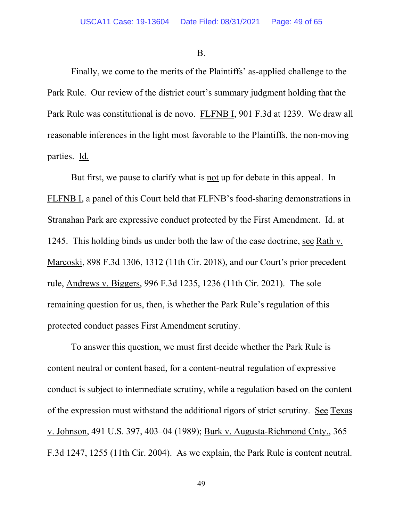B.

Finally, we come to the merits of the Plaintiffs' as-applied challenge to the Park Rule. Our review of the district court's summary judgment holding that the Park Rule was constitutional is de novo. FLFNB I, 901 F.3d at 1239. We draw all reasonable inferences in the light most favorable to the Plaintiffs, the non-moving parties. Id.

But first, we pause to clarify what is not up for debate in this appeal. In FLFNB I, a panel of this Court held that FLFNB's food-sharing demonstrations in Stranahan Park are expressive conduct protected by the First Amendment. Id. at 1245. This holding binds us under both the law of the case doctrine, see Rath v. Marcoski, 898 F.3d 1306, 1312 (11th Cir. 2018), and our Court's prior precedent rule, Andrews v. Biggers, 996 F.3d 1235, 1236 (11th Cir. 2021). The sole remaining question for us, then, is whether the Park Rule's regulation of this protected conduct passes First Amendment scrutiny.

To answer this question, we must first decide whether the Park Rule is content neutral or content based, for a content-neutral regulation of expressive conduct is subject to intermediate scrutiny, while a regulation based on the content of the expression must withstand the additional rigors of strict scrutiny. See Texas v. Johnson, 491 U.S. 397, 403–04 (1989); Burk v. Augusta-Richmond Cnty., 365 F.3d 1247, 1255 (11th Cir. 2004). As we explain, the Park Rule is content neutral.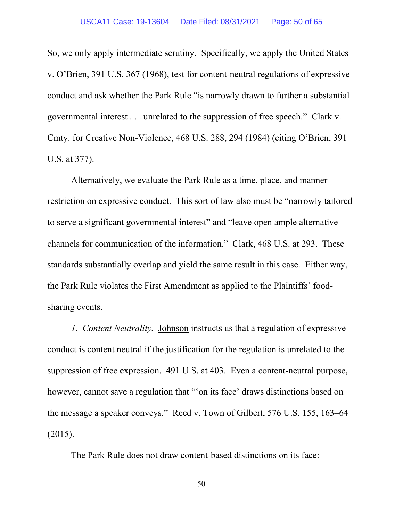So, we only apply intermediate scrutiny. Specifically, we apply the United States v. O'Brien, 391 U.S. 367 (1968), test for content-neutral regulations of expressive conduct and ask whether the Park Rule "is narrowly drawn to further a substantial governmental interest . . . unrelated to the suppression of free speech." Clark v. Cmty. for Creative Non-Violence, 468 U.S. 288, 294 (1984) (citing O'Brien, 391 U.S. at 377).

Alternatively, we evaluate the Park Rule as a time, place, and manner restriction on expressive conduct. This sort of law also must be "narrowly tailored to serve a significant governmental interest" and "leave open ample alternative channels for communication of the information." Clark, 468 U.S. at 293. These standards substantially overlap and yield the same result in this case. Either way, the Park Rule violates the First Amendment as applied to the Plaintiffs' foodsharing events.

*1. Content Neutrality.* Johnson instructs us that a regulation of expressive conduct is content neutral if the justification for the regulation is unrelated to the suppression of free expression. 491 U.S. at 403. Even a content-neutral purpose, however, cannot save a regulation that "'on its face' draws distinctions based on the message a speaker conveys." Reed v. Town of Gilbert, 576 U.S. 155, 163–64 (2015).

The Park Rule does not draw content-based distinctions on its face: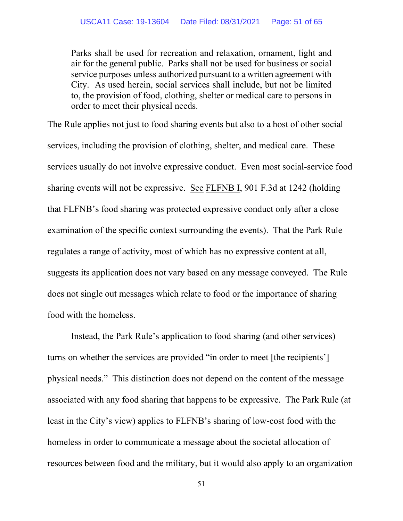Parks shall be used for recreation and relaxation, ornament, light and air for the general public. Parks shall not be used for business or social service purposes unless authorized pursuant to a written agreement with City. As used herein, social services shall include, but not be limited to, the provision of food, clothing, shelter or medical care to persons in order to meet their physical needs.

The Rule applies not just to food sharing events but also to a host of other social services, including the provision of clothing, shelter, and medical care. These services usually do not involve expressive conduct. Even most social-service food sharing events will not be expressive. See FLFNB I, 901 F.3d at 1242 (holding that FLFNB's food sharing was protected expressive conduct only after a close examination of the specific context surrounding the events). That the Park Rule regulates a range of activity, most of which has no expressive content at all, suggests its application does not vary based on any message conveyed. The Rule does not single out messages which relate to food or the importance of sharing food with the homeless.

Instead, the Park Rule's application to food sharing (and other services) turns on whether the services are provided "in order to meet [the recipients'] physical needs." This distinction does not depend on the content of the message associated with any food sharing that happens to be expressive. The Park Rule (at least in the City's view) applies to FLFNB's sharing of low-cost food with the homeless in order to communicate a message about the societal allocation of resources between food and the military, but it would also apply to an organization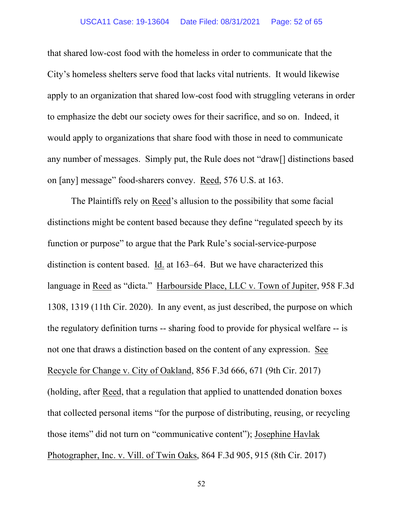#### USCA11 Case: 19-13604 Date Filed: 08/31/2021 Page: 52 of 65

that shared low-cost food with the homeless in order to communicate that the City's homeless shelters serve food that lacks vital nutrients. It would likewise apply to an organization that shared low-cost food with struggling veterans in order to emphasize the debt our society owes for their sacrifice, and so on. Indeed, it would apply to organizations that share food with those in need to communicate any number of messages. Simply put, the Rule does not "draw[] distinctions based on [any] message" food-sharers convey. Reed, 576 U.S. at 163.

The Plaintiffs rely on Reed's allusion to the possibility that some facial distinctions might be content based because they define "regulated speech by its function or purpose" to argue that the Park Rule's social-service-purpose distinction is content based. Id. at 163–64. But we have characterized this language in Reed as "dicta." Harbourside Place, LLC v. Town of Jupiter, 958 F.3d 1308, 1319 (11th Cir. 2020). In any event, as just described, the purpose on which the regulatory definition turns -- sharing food to provide for physical welfare -- is not one that draws a distinction based on the content of any expression. See Recycle for Change v. City of Oakland, 856 F.3d 666, 671 (9th Cir. 2017) (holding, after Reed, that a regulation that applied to unattended donation boxes that collected personal items "for the purpose of distributing, reusing, or recycling those items" did not turn on "communicative content"); Josephine Havlak Photographer, Inc. v. Vill. of Twin Oaks, 864 F.3d 905, 915 (8th Cir. 2017)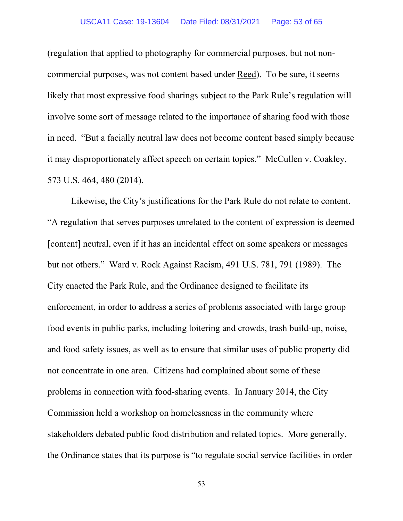#### USCA11 Case: 19-13604 Date Filed: 08/31/2021 Page: 53 of 65

(regulation that applied to photography for commercial purposes, but not noncommercial purposes, was not content based under Reed). To be sure, it seems likely that most expressive food sharings subject to the Park Rule's regulation will involve some sort of message related to the importance of sharing food with those in need. "But a facially neutral law does not become content based simply because it may disproportionately affect speech on certain topics." McCullen v. Coakley, 573 U.S. 464, 480 (2014).

Likewise, the City's justifications for the Park Rule do not relate to content. "A regulation that serves purposes unrelated to the content of expression is deemed [content] neutral, even if it has an incidental effect on some speakers or messages but not others." Ward v. Rock Against Racism, 491 U.S. 781, 791 (1989). The City enacted the Park Rule, and the Ordinance designed to facilitate its enforcement, in order to address a series of problems associated with large group food events in public parks, including loitering and crowds, trash build-up, noise, and food safety issues, as well as to ensure that similar uses of public property did not concentrate in one area. Citizens had complained about some of these problems in connection with food-sharing events. In January 2014, the City Commission held a workshop on homelessness in the community where stakeholders debated public food distribution and related topics. More generally, the Ordinance states that its purpose is "to regulate social service facilities in order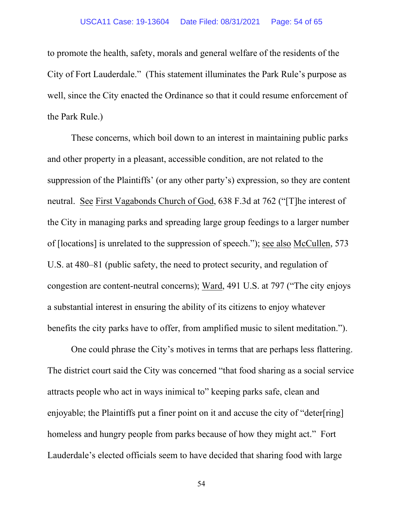to promote the health, safety, morals and general welfare of the residents of the City of Fort Lauderdale." (This statement illuminates the Park Rule's purpose as well, since the City enacted the Ordinance so that it could resume enforcement of the Park Rule.)

These concerns, which boil down to an interest in maintaining public parks and other property in a pleasant, accessible condition, are not related to the suppression of the Plaintiffs' (or any other party's) expression, so they are content neutral. See First Vagabonds Church of God, 638 F.3d at 762 ("[T]he interest of the City in managing parks and spreading large group feedings to a larger number of [locations] is unrelated to the suppression of speech."); see also McCullen, 573 U.S. at 480–81 (public safety, the need to protect security, and regulation of congestion are content-neutral concerns); Ward, 491 U.S. at 797 ("The city enjoys a substantial interest in ensuring the ability of its citizens to enjoy whatever benefits the city parks have to offer, from amplified music to silent meditation.").

One could phrase the City's motives in terms that are perhaps less flattering. The district court said the City was concerned "that food sharing as a social service attracts people who act in ways inimical to" keeping parks safe, clean and enjoyable; the Plaintiffs put a finer point on it and accuse the city of "deter[ring] homeless and hungry people from parks because of how they might act." Fort Lauderdale's elected officials seem to have decided that sharing food with large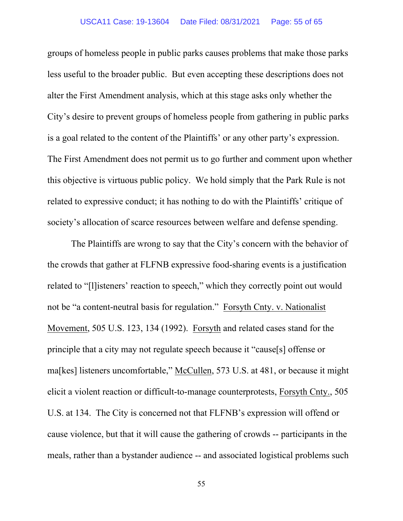groups of homeless people in public parks causes problems that make those parks less useful to the broader public. But even accepting these descriptions does not alter the First Amendment analysis, which at this stage asks only whether the City's desire to prevent groups of homeless people from gathering in public parks is a goal related to the content of the Plaintiffs' or any other party's expression. The First Amendment does not permit us to go further and comment upon whether this objective is virtuous public policy. We hold simply that the Park Rule is not related to expressive conduct; it has nothing to do with the Plaintiffs' critique of society's allocation of scarce resources between welfare and defense spending.

The Plaintiffs are wrong to say that the City's concern with the behavior of the crowds that gather at FLFNB expressive food-sharing events is a justification related to "[l]isteners' reaction to speech," which they correctly point out would not be "a content-neutral basis for regulation." Forsyth Cnty. v. Nationalist Movement, 505 U.S. 123, 134 (1992). Forsyth and related cases stand for the principle that a city may not regulate speech because it "cause[s] offense or ma[kes] listeners uncomfortable," McCullen, 573 U.S. at 481, or because it might elicit a violent reaction or difficult-to-manage counterprotests, Forsyth Cnty., 505 U.S. at 134. The City is concerned not that FLFNB's expression will offend or cause violence, but that it will cause the gathering of crowds -- participants in the meals, rather than a bystander audience -- and associated logistical problems such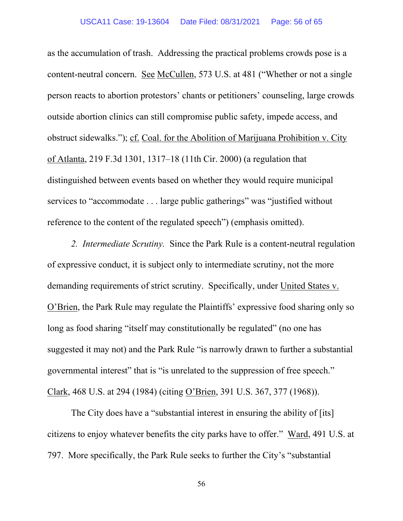as the accumulation of trash. Addressing the practical problems crowds pose is a content-neutral concern. See McCullen, 573 U.S. at 481 ("Whether or not a single person reacts to abortion protestors' chants or petitioners' counseling, large crowds outside abortion clinics can still compromise public safety, impede access, and obstruct sidewalks."); cf. Coal. for the Abolition of Marijuana Prohibition v. City of Atlanta, 219 F.3d 1301, 1317–18 (11th Cir. 2000) (a regulation that distinguished between events based on whether they would require municipal services to "accommodate . . . large public gatherings" was "justified without reference to the content of the regulated speech") (emphasis omitted).

*2. Intermediate Scrutiny.* Since the Park Rule is a content-neutral regulation of expressive conduct, it is subject only to intermediate scrutiny, not the more demanding requirements of strict scrutiny. Specifically, under United States v. O'Brien, the Park Rule may regulate the Plaintiffs' expressive food sharing only so long as food sharing "itself may constitutionally be regulated" (no one has suggested it may not) and the Park Rule "is narrowly drawn to further a substantial governmental interest" that is "is unrelated to the suppression of free speech." Clark, 468 U.S. at 294 (1984) (citing O'Brien, 391 U.S. 367, 377 (1968)).

The City does have a "substantial interest in ensuring the ability of [its] citizens to enjoy whatever benefits the city parks have to offer." Ward, 491 U.S. at 797. More specifically, the Park Rule seeks to further the City's "substantial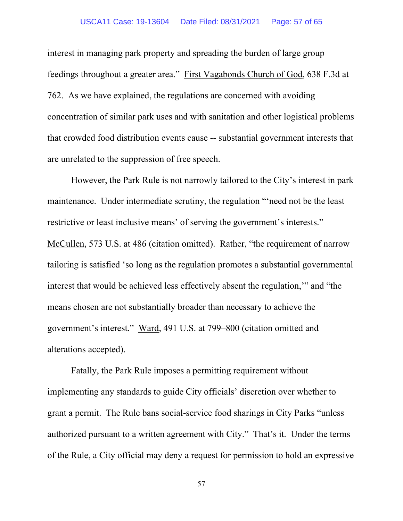#### USCA11 Case: 19-13604 Date Filed: 08/31/2021 Page: 57 of 65

interest in managing park property and spreading the burden of large group feedings throughout a greater area." First Vagabonds Church of God, 638 F.3d at 762. As we have explained, the regulations are concerned with avoiding concentration of similar park uses and with sanitation and other logistical problems that crowded food distribution events cause -- substantial government interests that are unrelated to the suppression of free speech.

However, the Park Rule is not narrowly tailored to the City's interest in park maintenance. Under intermediate scrutiny, the regulation "'need not be the least restrictive or least inclusive means' of serving the government's interests." McCullen, 573 U.S. at 486 (citation omitted). Rather, "the requirement of narrow tailoring is satisfied 'so long as the regulation promotes a substantial governmental interest that would be achieved less effectively absent the regulation,'" and "the means chosen are not substantially broader than necessary to achieve the government's interest." Ward, 491 U.S. at 799–800 (citation omitted and alterations accepted).

Fatally, the Park Rule imposes a permitting requirement without implementing any standards to guide City officials' discretion over whether to grant a permit. The Rule bans social-service food sharings in City Parks "unless authorized pursuant to a written agreement with City." That's it. Under the terms of the Rule, a City official may deny a request for permission to hold an expressive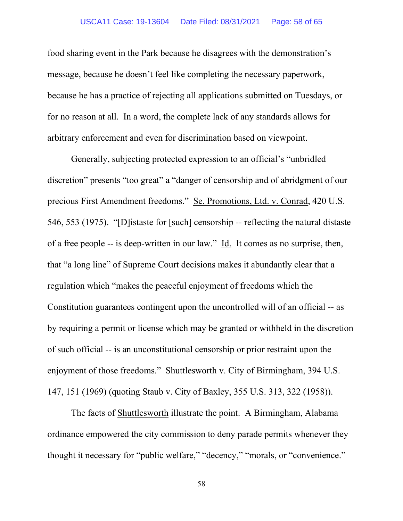food sharing event in the Park because he disagrees with the demonstration's message, because he doesn't feel like completing the necessary paperwork, because he has a practice of rejecting all applications submitted on Tuesdays, or for no reason at all. In a word, the complete lack of any standards allows for arbitrary enforcement and even for discrimination based on viewpoint.

Generally, subjecting protected expression to an official's "unbridled discretion" presents "too great" a "danger of censorship and of abridgment of our precious First Amendment freedoms." Se. Promotions, Ltd. v. Conrad, 420 U.S. 546, 553 (1975). "[D]istaste for [such] censorship -- reflecting the natural distaste of a free people -- is deep-written in our law." Id. It comes as no surprise, then, that "a long line" of Supreme Court decisions makes it abundantly clear that a regulation which "makes the peaceful enjoyment of freedoms which the Constitution guarantees contingent upon the uncontrolled will of an official -- as by requiring a permit or license which may be granted or withheld in the discretion of such official -- is an unconstitutional censorship or prior restraint upon the enjoyment of those freedoms." Shuttlesworth v. City of Birmingham, 394 U.S. 147, 151 (1969) (quoting Staub v. City of Baxley, 355 U.S. 313, 322 (1958)).

The facts of Shuttlesworth illustrate the point. A Birmingham, Alabama ordinance empowered the city commission to deny parade permits whenever they thought it necessary for "public welfare," "decency," "morals, or "convenience."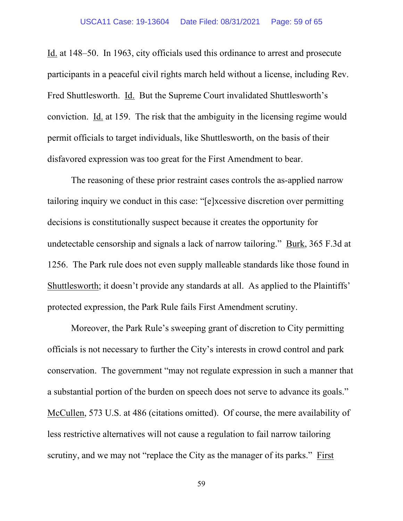Id. at 148–50. In 1963, city officials used this ordinance to arrest and prosecute participants in a peaceful civil rights march held without a license, including Rev. Fred Shuttlesworth. Id. But the Supreme Court invalidated Shuttlesworth's conviction. Id. at 159. The risk that the ambiguity in the licensing regime would permit officials to target individuals, like Shuttlesworth, on the basis of their disfavored expression was too great for the First Amendment to bear.

The reasoning of these prior restraint cases controls the as-applied narrow tailoring inquiry we conduct in this case: "[e]xcessive discretion over permitting decisions is constitutionally suspect because it creates the opportunity for undetectable censorship and signals a lack of narrow tailoring." Burk, 365 F.3d at 1256. The Park rule does not even supply malleable standards like those found in Shuttlesworth; it doesn't provide any standards at all. As applied to the Plaintiffs' protected expression, the Park Rule fails First Amendment scrutiny.

Moreover, the Park Rule's sweeping grant of discretion to City permitting officials is not necessary to further the City's interests in crowd control and park conservation. The government "may not regulate expression in such a manner that a substantial portion of the burden on speech does not serve to advance its goals." McCullen, 573 U.S. at 486 (citations omitted). Of course, the mere availability of less restrictive alternatives will not cause a regulation to fail narrow tailoring scrutiny, and we may not "replace the City as the manager of its parks." First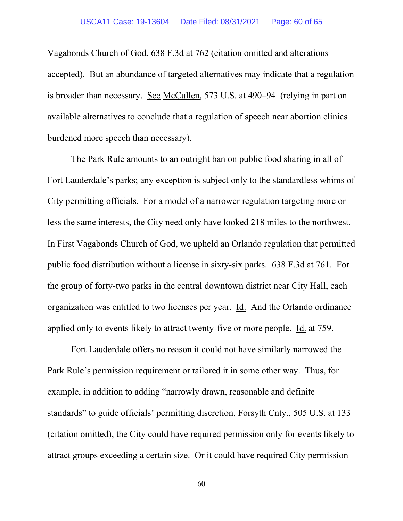Vagabonds Church of God, 638 F.3d at 762 (citation omitted and alterations accepted). But an abundance of targeted alternatives may indicate that a regulation is broader than necessary. See McCullen, 573 U.S. at 490–94 (relying in part on available alternatives to conclude that a regulation of speech near abortion clinics burdened more speech than necessary).

The Park Rule amounts to an outright ban on public food sharing in all of Fort Lauderdale's parks; any exception is subject only to the standardless whims of City permitting officials. For a model of a narrower regulation targeting more or less the same interests, the City need only have looked 218 miles to the northwest. In First Vagabonds Church of God, we upheld an Orlando regulation that permitted public food distribution without a license in sixty-six parks. 638 F.3d at 761. For the group of forty-two parks in the central downtown district near City Hall, each organization was entitled to two licenses per year. Id. And the Orlando ordinance applied only to events likely to attract twenty-five or more people. Id. at 759.

Fort Lauderdale offers no reason it could not have similarly narrowed the Park Rule's permission requirement or tailored it in some other way. Thus, for example, in addition to adding "narrowly drawn, reasonable and definite standards" to guide officials' permitting discretion, Forsyth Cnty., 505 U.S. at 133 (citation omitted), the City could have required permission only for events likely to attract groups exceeding a certain size. Or it could have required City permission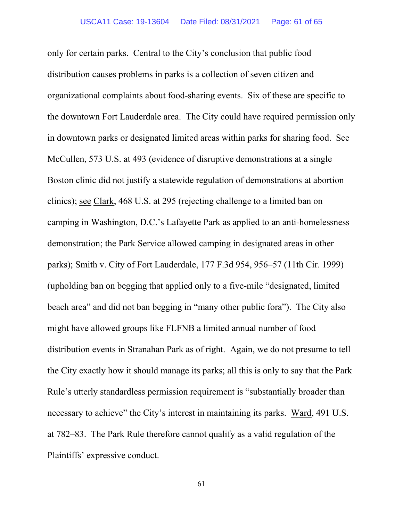only for certain parks. Central to the City's conclusion that public food distribution causes problems in parks is a collection of seven citizen and organizational complaints about food-sharing events. Six of these are specific to the downtown Fort Lauderdale area. The City could have required permission only in downtown parks or designated limited areas within parks for sharing food. See McCullen, 573 U.S. at 493 (evidence of disruptive demonstrations at a single Boston clinic did not justify a statewide regulation of demonstrations at abortion clinics); see Clark, 468 U.S. at 295 (rejecting challenge to a limited ban on camping in Washington, D.C.'s Lafayette Park as applied to an anti-homelessness demonstration; the Park Service allowed camping in designated areas in other parks); Smith v. City of Fort Lauderdale, 177 F.3d 954, 956–57 (11th Cir. 1999) (upholding ban on begging that applied only to a five-mile "designated, limited beach area" and did not ban begging in "many other public fora"). The City also might have allowed groups like FLFNB a limited annual number of food distribution events in Stranahan Park as of right. Again, we do not presume to tell the City exactly how it should manage its parks; all this is only to say that the Park Rule's utterly standardless permission requirement is "substantially broader than necessary to achieve" the City's interest in maintaining its parks. Ward, 491 U.S. at 782–83. The Park Rule therefore cannot qualify as a valid regulation of the Plaintiffs' expressive conduct.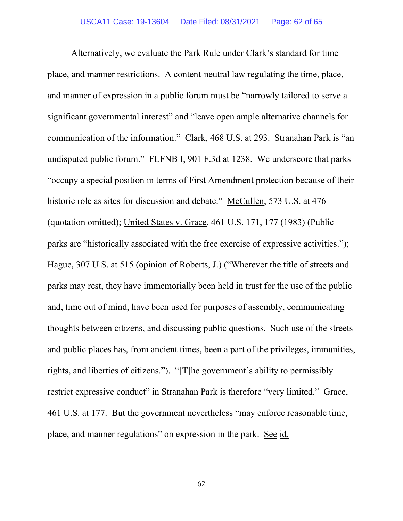Alternatively, we evaluate the Park Rule under Clark's standard for time place, and manner restrictions. A content-neutral law regulating the time, place, and manner of expression in a public forum must be "narrowly tailored to serve a significant governmental interest" and "leave open ample alternative channels for communication of the information." Clark, 468 U.S. at 293. Stranahan Park is "an undisputed public forum." FLFNB I, 901 F.3d at 1238. We underscore that parks "occupy a special position in terms of First Amendment protection because of their historic role as sites for discussion and debate." McCullen, 573 U.S. at 476 (quotation omitted); United States v. Grace, 461 U.S. 171, 177 (1983) (Public parks are "historically associated with the free exercise of expressive activities."); Hague, 307 U.S. at 515 (opinion of Roberts, J.) ("Wherever the title of streets and parks may rest, they have immemorially been held in trust for the use of the public and, time out of mind, have been used for purposes of assembly, communicating thoughts between citizens, and discussing public questions. Such use of the streets and public places has, from ancient times, been a part of the privileges, immunities, rights, and liberties of citizens."). "[T]he government's ability to permissibly restrict expressive conduct" in Stranahan Park is therefore "very limited." Grace, 461 U.S. at 177. But the government nevertheless "may enforce reasonable time, place, and manner regulations" on expression in the park. See id.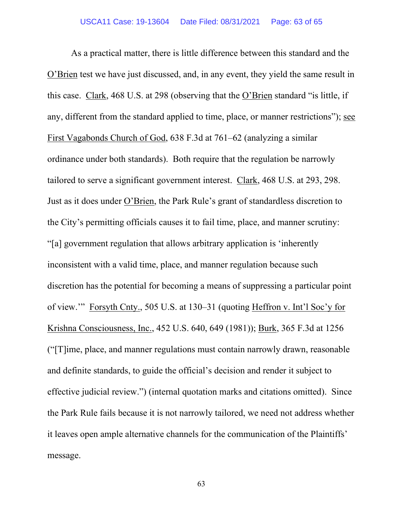As a practical matter, there is little difference between this standard and the O'Brien test we have just discussed, and, in any event, they yield the same result in this case. Clark, 468 U.S. at 298 (observing that the O'Brien standard "is little, if any, different from the standard applied to time, place, or manner restrictions"); see First Vagabonds Church of God, 638 F.3d at 761–62 (analyzing a similar ordinance under both standards). Both require that the regulation be narrowly tailored to serve a significant government interest. Clark, 468 U.S. at 293, 298. Just as it does under O'Brien, the Park Rule's grant of standardless discretion to the City's permitting officials causes it to fail time, place, and manner scrutiny: "[a] government regulation that allows arbitrary application is 'inherently inconsistent with a valid time, place, and manner regulation because such discretion has the potential for becoming a means of suppressing a particular point of view.'" Forsyth Cnty., 505 U.S. at 130–31 (quoting Heffron v. Int'l Soc'y for Krishna Consciousness, Inc., 452 U.S. 640, 649 (1981)); Burk, 365 F.3d at 1256 ("[T]ime, place, and manner regulations must contain narrowly drawn, reasonable and definite standards, to guide the official's decision and render it subject to effective judicial review.") (internal quotation marks and citations omitted). Since the Park Rule fails because it is not narrowly tailored, we need not address whether it leaves open ample alternative channels for the communication of the Plaintiffs' message.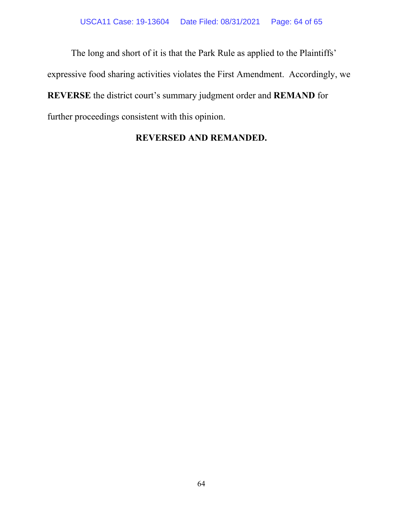The long and short of it is that the Park Rule as applied to the Plaintiffs' expressive food sharing activities violates the First Amendment. Accordingly, we **REVERSE** the district court's summary judgment order and **REMAND** for further proceedings consistent with this opinion.

## **REVERSED AND REMANDED.**